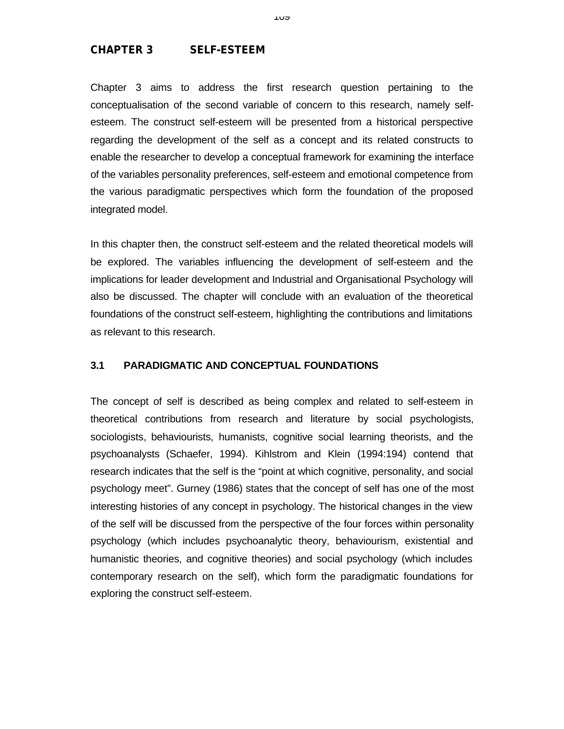# **CHAPTER 3 SELF-ESTEEM**

Chapter 3 aims to address the first research question pertaining to the conceptualisation of the second variable of concern to this research, namely selfesteem. The construct self-esteem will be presented from a historical perspective regarding the development of the self as a concept and its related constructs to enable the researcher to develop a conceptual framework for examining the interface of the variables personality preferences, self-esteem and emotional competence from the various paradigmatic perspectives which form the foundation of the proposed integrated model.

In this chapter then, the construct self-esteem and the related theoretical models will be explored. The variables influencing the development of self-esteem and the implications for leader development and Industrial and Organisational Psychology will also be discussed. The chapter will conclude with an evaluation of the theoretical foundations of the construct self-esteem, highlighting the contributions and limitations as relevant to this research.

# **3.1 PARADIGMATIC AND CONCEPTUAL FOUNDATIONS**

The concept of self is described as being complex and related to self-esteem in theoretical contributions from research and literature by social psychologists, sociologists, behaviourists, humanists, cognitive social learning theorists, and the psychoanalysts (Schaefer, 1994). Kihlstrom and Klein (1994:194) contend that research indicates that the self is the "point at which cognitive, personality, and social psychology meet". Gurney (1986) states that the concept of self has one of the most interesting histories of any concept in psychology. The historical changes in the view of the self will be discussed from the perspective of the four forces within personality psychology (which includes psychoanalytic theory, behaviourism, existential and humanistic theories, and cognitive theories) and social psychology (which includes contemporary research on the self), which form the paradigmatic foundations for exploring the construct self-esteem.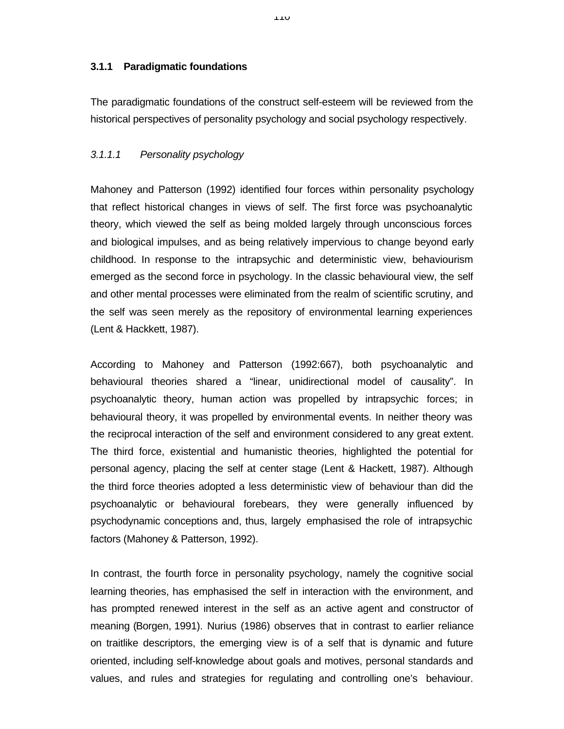#### **3.1.1 Paradigmatic foundations**

The paradigmatic foundations of the construct self-esteem will be reviewed from the historical perspectives of personality psychology and social psychology respectively.

## *3.1.1.1 Personality psychology*

Mahoney and Patterson (1992) identified four forces within personality psychology that reflect historical changes in views of self. The first force was psychoanalytic theory, which viewed the self as being molded largely through unconscious forces and biological impulses, and as being relatively impervious to change beyond early childhood. In response to the intrapsychic and deterministic view, behaviourism emerged as the second force in psychology. In the classic behavioural view, the self and other mental processes were eliminated from the realm of scientific scrutiny, and the self was seen merely as the repository of environmental learning experiences (Lent & Hackkett, 1987).

According to Mahoney and Patterson (1992:667), both psychoanalytic and behavioural theories shared a "linear, unidirectional model of causality". In psychoanalytic theory, human action was propelled by intrapsychic forces; in behavioural theory, it was propelled by environmental events. In neither theory was the reciprocal interaction of the self and environment considered to any great extent. The third force, existential and humanistic theories, highlighted the potential for personal agency, placing the self at center stage (Lent & Hackett, 1987). Although the third force theories adopted a less deterministic view of behaviour than did the psychoanalytic or behavioural forebears, they were generally influenced by psychodynamic conceptions and, thus, largely emphasised the role of intrapsychic factors (Mahoney & Patterson, 1992).

In contrast, the fourth force in personality psychology, namely the cognitive social learning theories, has emphasised the self in interaction with the environment, and has prompted renewed interest in the self as an active agent and constructor of meaning (Borgen, 1991). Nurius (1986) observes that in contrast to earlier reliance on traitlike descriptors, the emerging view is of a self that is dynamic and future oriented, including self-knowledge about goals and motives, personal standards and values, and rules and strategies for regulating and controlling one's behaviour.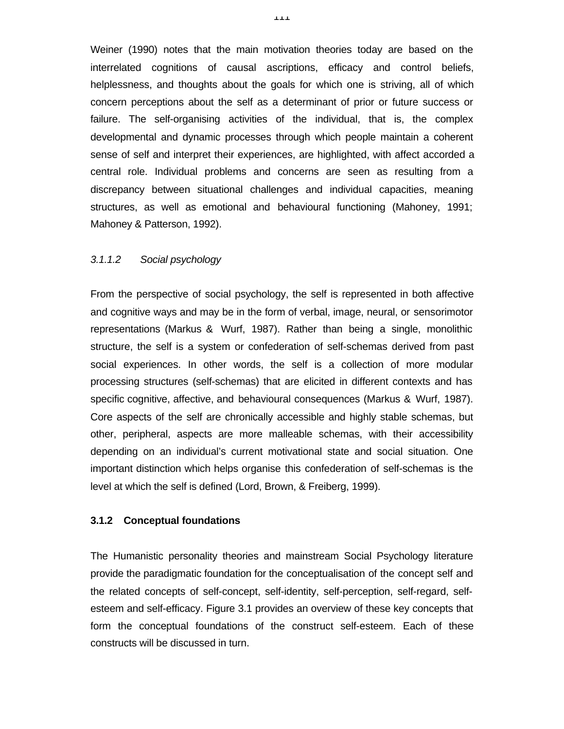Weiner (1990) notes that the main motivation theories today are based on the interrelated cognitions of causal ascriptions, efficacy and control beliefs, helplessness, and thoughts about the goals for which one is striving, all of which concern perceptions about the self as a determinant of prior or future success or failure. The self-organising activities of the individual, that is, the complex developmental and dynamic processes through which people maintain a coherent sense of self and interpret their experiences, are highlighted, with affect accorded a central role. Individual problems and concerns are seen as resulting from a discrepancy between situational challenges and individual capacities, meaning structures, as well as emotional and behavioural functioning (Mahoney, 1991; Mahoney & Patterson, 1992).

## *3.1.1.2 Social psychology*

From the perspective of social psychology, the self is represented in both affective and cognitive ways and may be in the form of verbal, image, neural, or sensorimotor representations (Markus & Wurf, 1987). Rather than being a single, monolithic structure, the self is a system or confederation of self-schemas derived from past social experiences. In other words, the self is a collection of more modular processing structures (self-schemas) that are elicited in different contexts and has specific cognitive, affective, and behavioural consequences (Markus & Wurf, 1987). Core aspects of the self are chronically accessible and highly stable schemas, but other, peripheral, aspects are more malleable schemas, with their accessibility depending on an individual's current motivational state and social situation. One important distinction which helps organise this confederation of self-schemas is the level at which the self is defined (Lord, Brown, & Freiberg, 1999).

#### **3.1.2 Conceptual foundations**

The Humanistic personality theories and mainstream Social Psychology literature provide the paradigmatic foundation for the conceptualisation of the concept self and the related concepts of self-concept, self-identity, self-perception, self-regard, selfesteem and self-efficacy. Figure 3.1 provides an overview of these key concepts that form the conceptual foundations of the construct self-esteem. Each of these constructs will be discussed in turn.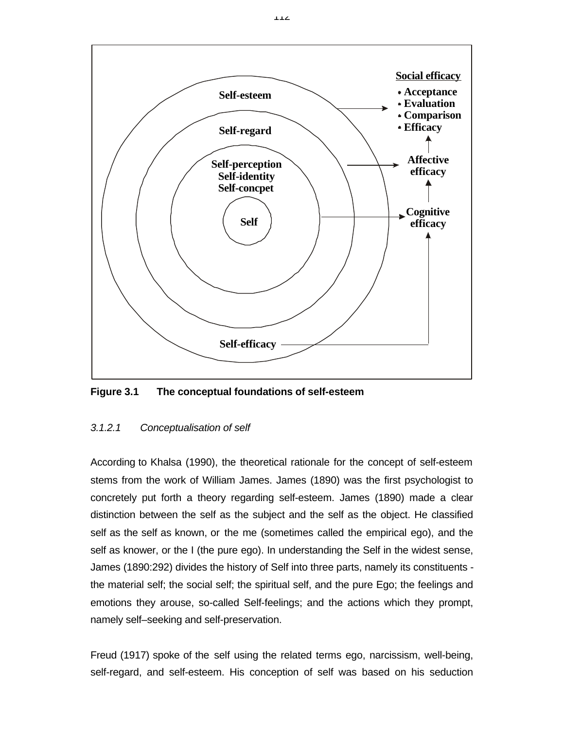

**Figure 3.1 The conceptual foundations of self-esteem**

# *3.1.2.1 Conceptualisation of self*

According to Khalsa (1990), the theoretical rationale for the concept of self-esteem stems from the work of William James. James (1890) was the first psychologist to concretely put forth a theory regarding self-esteem. James (1890) made a clear distinction between the self as the subject and the self as the object. He classified self as the self as known, or the me (sometimes called the empirical ego), and the self as knower, or the I (the pure ego). In understanding the Self in the widest sense, James (1890:292) divides the history of Self into three parts, namely its constituents the material self; the social self; the spiritual self, and the pure Ego; the feelings and emotions they arouse, so-called Self-feelings; and the actions which they prompt, namely self–seeking and self-preservation.

Freud (1917) spoke of the self using the related terms ego, narcissism, well-being, self-regard, and self-esteem. His conception of self was based on his seduction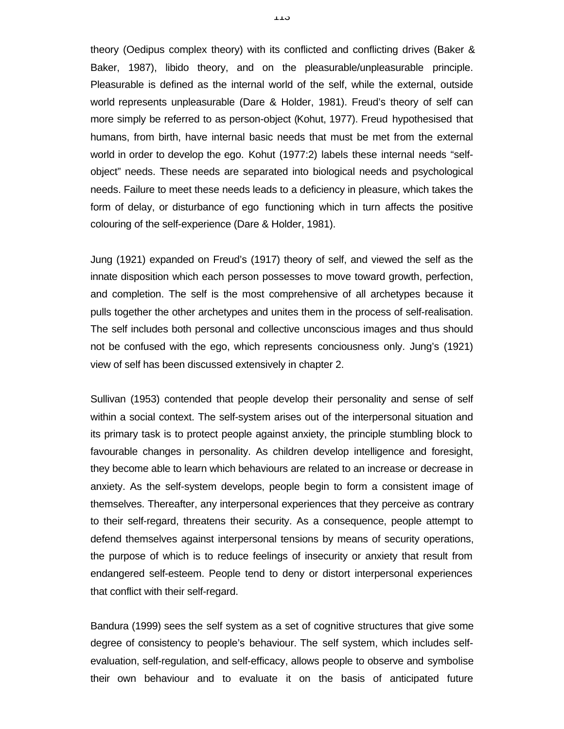theory (Oedipus complex theory) with its conflicted and conflicting drives (Baker & Baker, 1987), libido theory, and on the pleasurable/unpleasurable principle. Pleasurable is defined as the internal world of the self, while the external, outside world represents unpleasurable (Dare & Holder, 1981). Freud's theory of self can more simply be referred to as person-object (Kohut, 1977). Freud hypothesised that humans, from birth, have internal basic needs that must be met from the external world in order to develop the ego. Kohut (1977:2) labels these internal needs "selfobject" needs. These needs are separated into biological needs and psychological needs. Failure to meet these needs leads to a deficiency in pleasure, which takes the form of delay, or disturbance of ego functioning which in turn affects the positive colouring of the self-experience (Dare & Holder, 1981).

Jung (1921) expanded on Freud's (1917) theory of self, and viewed the self as the innate disposition which each person possesses to move toward growth, perfection, and completion. The self is the most comprehensive of all archetypes because it pulls together the other archetypes and unites them in the process of self-realisation. The self includes both personal and collective unconscious images and thus should not be confused with the ego, which represents conciousness only. Jung's (1921) view of self has been discussed extensively in chapter 2.

Sullivan (1953) contended that people develop their personality and sense of self within a social context. The self-system arises out of the interpersonal situation and its primary task is to protect people against anxiety, the principle stumbling block to favourable changes in personality. As children develop intelligence and foresight, they become able to learn which behaviours are related to an increase or decrease in anxiety. As the self-system develops, people begin to form a consistent image of themselves. Thereafter, any interpersonal experiences that they perceive as contrary to their self-regard, threatens their security. As a consequence, people attempt to defend themselves against interpersonal tensions by means of security operations, the purpose of which is to reduce feelings of insecurity or anxiety that result from endangered self-esteem. People tend to deny or distort interpersonal experiences that conflict with their self-regard.

Bandura (1999) sees the self system as a set of cognitive structures that give some degree of consistency to people's behaviour. The self system, which includes selfevaluation, self-regulation, and self-efficacy, allows people to observe and symbolise their own behaviour and to evaluate it on the basis of anticipated future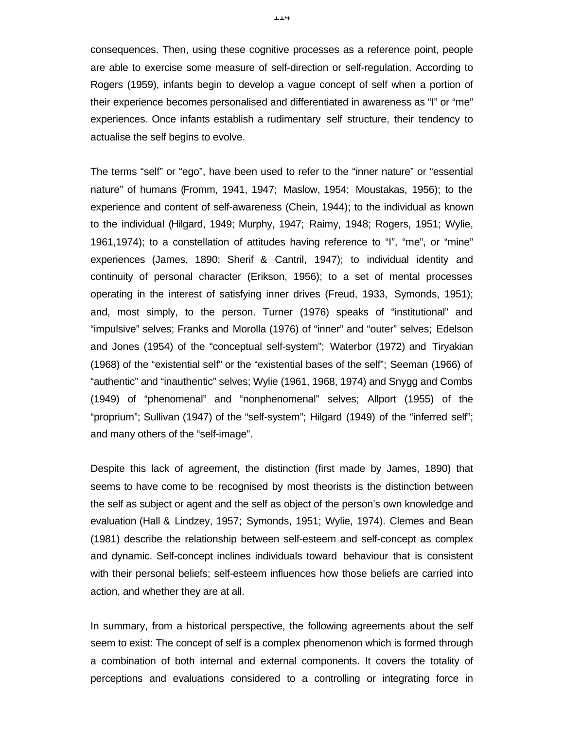consequences. Then, using these cognitive processes as a reference point, people are able to exercise some measure of self-direction or self-regulation. According to Rogers (1959), infants begin to develop a vague concept of self when a portion of their experience becomes personalised and differentiated in awareness as "I" or "me" experiences. Once infants establish a rudimentary self structure, their tendency to actualise the self begins to evolve.

The terms "self" or "ego", have been used to refer to the "inner nature" or "essential nature" of humans (Fromm, 1941, 1947; Maslow, 1954; Moustakas, 1956); to the experience and content of self-awareness (Chein, 1944); to the individual as known to the individual (Hilgard, 1949; Murphy, 1947; Raimy, 1948; Rogers, 1951; Wylie, 1961,1974); to a constellation of attitudes having reference to "I", "me", or "mine" experiences (James, 1890; Sherif & Cantril, 1947); to individual identity and continuity of personal character (Erikson, 1956); to a set of mental processes operating in the interest of satisfying inner drives (Freud, 1933, Symonds, 1951); and, most simply, to the person. Turner (1976) speaks of "institutional" and "impulsive" selves; Franks and Morolla (1976) of "inner" and "outer" selves; Edelson and Jones (1954) of the "conceptual self-system"; Waterbor (1972) and Tiryakian (1968) of the "existential self" or the "existential bases of the self"; Seeman (1966) of "authentic" and "inauthentic" selves; Wylie (1961, 1968, 1974) and Snygg and Combs (1949) of "phenomenal" and "nonphenomenal" selves; Allport (1955) of the "proprium"; Sullivan (1947) of the "self-system"; Hilgard (1949) of the "inferred self"; and many others of the "self-image".

Despite this lack of agreement, the distinction (first made by James, 1890) that seems to have come to be recognised by most theorists is the distinction between the self as subject or agent and the self as object of the person's own knowledge and evaluation (Hall & Lindzey, 1957; Symonds, 1951; Wylie, 1974). Clemes and Bean (1981) describe the relationship between self-esteem and self-concept as complex and dynamic. Self-concept inclines individuals toward behaviour that is consistent with their personal beliefs; self-esteem influences how those beliefs are carried into action, and whether they are at all.

In summary, from a historical perspective, the following agreements about the self seem to exist: The concept of self is a complex phenomenon which is formed through a combination of both internal and external components. It covers the totality of perceptions and evaluations considered to a controlling or integrating force in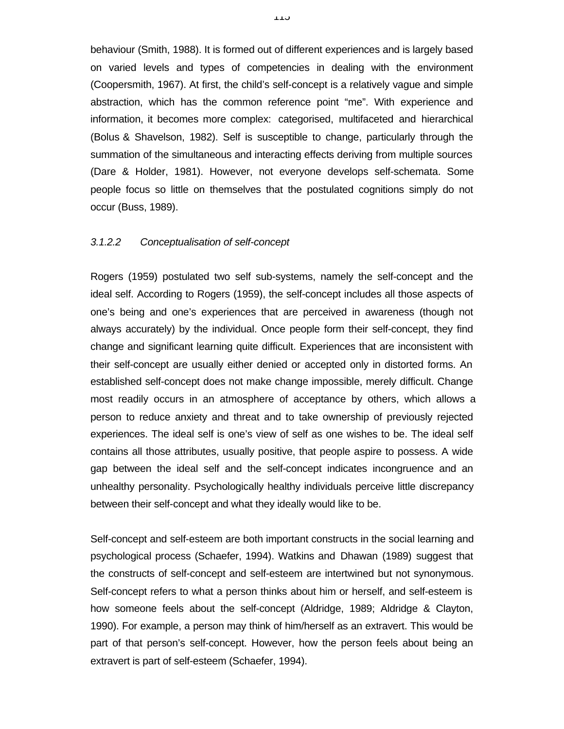behaviour (Smith, 1988). It is formed out of different experiences and is largely based on varied levels and types of competencies in dealing with the environment (Coopersmith, 1967). At first, the child's self-concept is a relatively vague and simple abstraction, which has the common reference point "me". With experience and information, it becomes more complex: categorised, multifaceted and hierarchical (Bolus & Shavelson, 1982). Self is susceptible to change, particularly through the summation of the simultaneous and interacting effects deriving from multiple sources (Dare & Holder, 1981). However, not everyone develops self-schemata. Some people focus so little on themselves that the postulated cognitions simply do not occur (Buss, 1989).

#### *3.1.2.2 Conceptualisation of self-concept*

Rogers (1959) postulated two self sub-systems, namely the self-concept and the ideal self. According to Rogers (1959), the self-concept includes all those aspects of one's being and one's experiences that are perceived in awareness (though not always accurately) by the individual. Once people form their self-concept, they find change and significant learning quite difficult. Experiences that are inconsistent with their self-concept are usually either denied or accepted only in distorted forms. An established self-concept does not make change impossible, merely difficult. Change most readily occurs in an atmosphere of acceptance by others, which allows a person to reduce anxiety and threat and to take ownership of previously rejected experiences. The ideal self is one's view of self as one wishes to be. The ideal self contains all those attributes, usually positive, that people aspire to possess. A wide gap between the ideal self and the self-concept indicates incongruence and an unhealthy personality. Psychologically healthy individuals perceive little discrepancy between their self-concept and what they ideally would like to be.

Self-concept and self-esteem are both important constructs in the social learning and psychological process (Schaefer, 1994). Watkins and Dhawan (1989) suggest that the constructs of self-concept and self-esteem are intertwined but not synonymous. Self-concept refers to what a person thinks about him or herself, and self-esteem is how someone feels about the self-concept (Aldridge, 1989; Aldridge & Clayton, 1990). For example, a person may think of him/herself as an extravert. This would be part of that person's self-concept. However, how the person feels about being an extravert is part of self-esteem (Schaefer, 1994).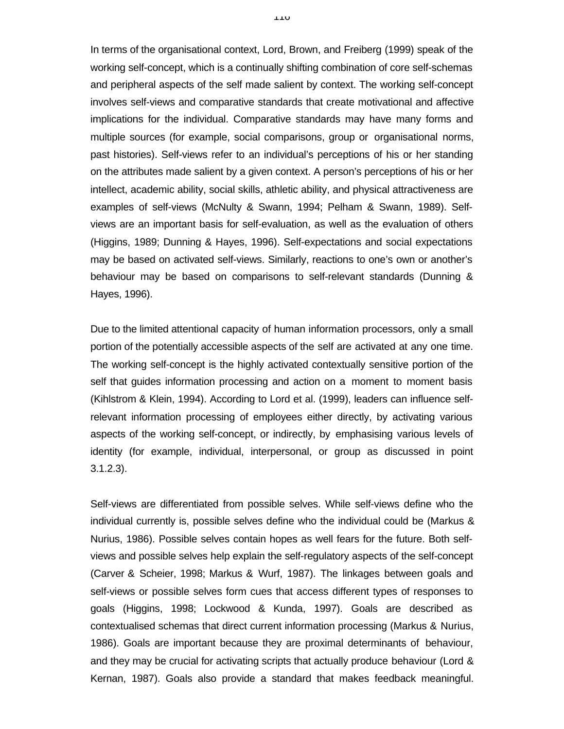In terms of the organisational context, Lord, Brown, and Freiberg (1999) speak of the working self-concept, which is a continually shifting combination of core self-schemas and peripheral aspects of the self made salient by context. The working self-concept involves self-views and comparative standards that create motivational and affective implications for the individual. Comparative standards may have many forms and multiple sources (for example, social comparisons, group or organisational norms, past histories). Self-views refer to an individual's perceptions of his or her standing on the attributes made salient by a given context. A person's perceptions of his or her intellect, academic ability, social skills, athletic ability, and physical attractiveness are examples of self-views (McNulty & Swann, 1994; Pelham & Swann, 1989). Selfviews are an important basis for self-evaluation, as well as the evaluation of others (Higgins, 1989; Dunning & Hayes, 1996). Self-expectations and social expectations may be based on activated self-views. Similarly, reactions to one's own or another's behaviour may be based on comparisons to self-relevant standards (Dunning & Hayes, 1996).

Due to the limited attentional capacity of human information processors, only a small portion of the potentially accessible aspects of the self are activated at any one time. The working self-concept is the highly activated contextually sensitive portion of the self that guides information processing and action on a moment to moment basis (Kihlstrom & Klein, 1994). According to Lord et al. (1999), leaders can influence selfrelevant information processing of employees either directly, by activating various aspects of the working self-concept, or indirectly, by emphasising various levels of identity (for example, individual, interpersonal, or group as discussed in point 3.1.2.3).

Self-views are differentiated from possible selves. While self-views define who the individual currently is, possible selves define who the individual could be (Markus & Nurius, 1986). Possible selves contain hopes as well fears for the future. Both selfviews and possible selves help explain the self-regulatory aspects of the self-concept (Carver & Scheier, 1998; Markus & Wurf, 1987). The linkages between goals and self-views or possible selves form cues that access different types of responses to goals (Higgins, 1998; Lockwood & Kunda, 1997). Goals are described as contextualised schemas that direct current information processing (Markus & Nurius, 1986). Goals are important because they are proximal determinants of behaviour, and they may be crucial for activating scripts that actually produce behaviour (Lord & Kernan, 1987). Goals also provide a standard that makes feedback meaningful.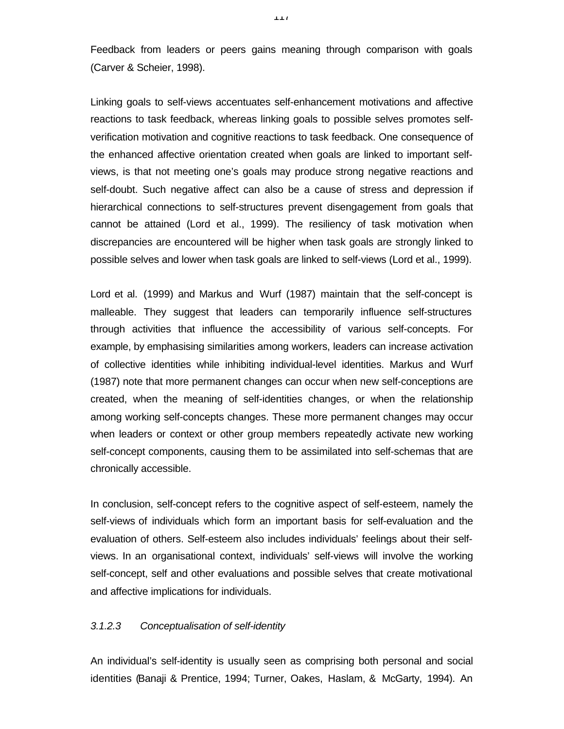Feedback from leaders or peers gains meaning through comparison with goals (Carver & Scheier, 1998).

Linking goals to self-views accentuates self-enhancement motivations and affective reactions to task feedback, whereas linking goals to possible selves promotes selfverification motivation and cognitive reactions to task feedback. One consequence of the enhanced affective orientation created when goals are linked to important selfviews, is that not meeting one's goals may produce strong negative reactions and self-doubt. Such negative affect can also be a cause of stress and depression if hierarchical connections to self-structures prevent disengagement from goals that cannot be attained (Lord et al., 1999). The resiliency of task motivation when discrepancies are encountered will be higher when task goals are strongly linked to possible selves and lower when task goals are linked to self-views (Lord et al., 1999).

Lord et al. (1999) and Markus and Wurf (1987) maintain that the self-concept is malleable. They suggest that leaders can temporarily influence self-structures through activities that influence the accessibility of various self-concepts. For example, by emphasising similarities among workers, leaders can increase activation of collective identities while inhibiting individual-level identities. Markus and Wurf (1987) note that more permanent changes can occur when new self-conceptions are created, when the meaning of self-identities changes, or when the relationship among working self-concepts changes. These more permanent changes may occur when leaders or context or other group members repeatedly activate new working self-concept components, causing them to be assimilated into self-schemas that are chronically accessible.

In conclusion, self-concept refers to the cognitive aspect of self-esteem, namely the self-views of individuals which form an important basis for self-evaluation and the evaluation of others. Self-esteem also includes individuals' feelings about their selfviews. In an organisational context, individuals' self-views will involve the working self-concept, self and other evaluations and possible selves that create motivational and affective implications for individuals.

## *3.1.2.3 Conceptualisation of self-identity*

An individual's self-identity is usually seen as comprising both personal and social identities (Banaji & Prentice, 1994; Turner, Oakes, Haslam, & McGarty, 1994). An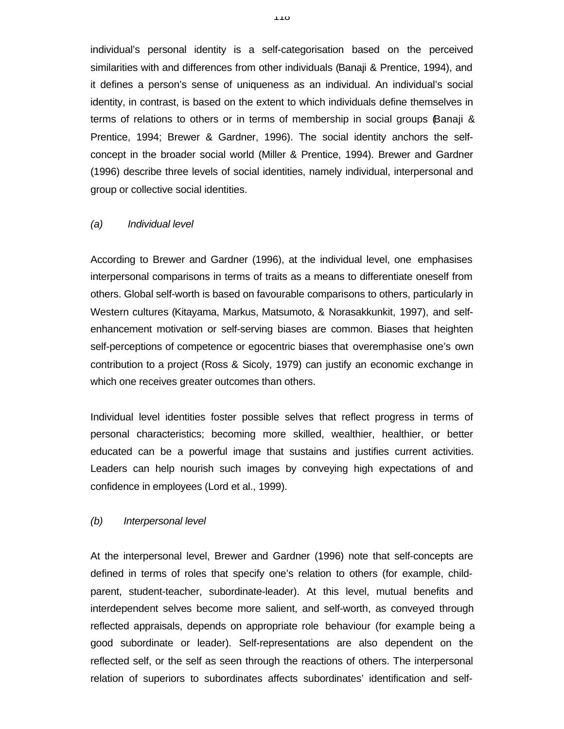individual's personal identity is a self-categorisation based on the perceived similarities with and differences from other individuals (Banaji & Prentice, 1994), and it defines a person's sense of uniqueness as an individual. An individual's social identity, in contrast, is based on the extent to which individuals define themselves in terms of relations to others or in terms of membership in social groups Banaji & Prentice, 1994; Brewer & Gardner, 1996). The social identity anchors the selfconcept in the broader social world (Miller & Prentice, 1994). Brewer and Gardner (1996) describe three levels of social identities, namely individual, interpersonal and group or collective social identities.

#### *(a) Individual level*

According to Brewer and Gardner (1996), at the individual level, one emphasises interpersonal comparisons in terms of traits as a means to differentiate oneself from others. Global self-worth is based on favourable comparisons to others, particularly in Western cultures (Kitayama, Markus, Matsumoto, & Norasakkunkit, 1997), and selfenhancement motivation or self-serving biases are common. Biases that heighten self-perceptions of competence or egocentric biases that overemphasise one's own contribution to a project (Ross & Sicoly, 1979) can justify an economic exchange in which one receives greater outcomes than others.

Individual level identities foster possible selves that reflect progress in terms of personal characteristics; becoming more skilled, wealthier, healthier, or better educated can be a powerful image that sustains and justifies current activities. Leaders can help nourish such images by conveying high expectations of and confidence in employees (Lord et al., 1999).

## *(b) Interpersonal level*

At the interpersonal level, Brewer and Gardner (1996) note that self-concepts are defined in terms of roles that specify one's relation to others (for example, childparent, student-teacher, subordinate-leader). At this level, mutual benefits and interdependent selves become more salient, and self-worth, as conveyed through reflected appraisals, depends on appropriate role behaviour (for example being a good subordinate or leader). Self-representations are also dependent on the reflected self, or the self as seen through the reactions of others. The interpersonal relation of superiors to subordinates affects subordinates' identification and self-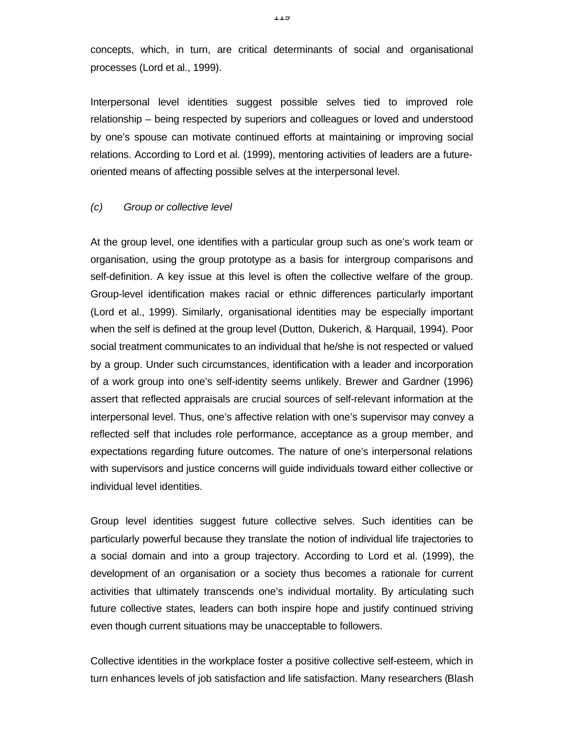concepts, which, in turn, are critical determinants of social and organisational processes (Lord et al., 1999).

Interpersonal level identities suggest possible selves tied to improved role relationship – being respected by superiors and colleagues or loved and understood by one's spouse can motivate continued efforts at maintaining or improving social relations. According to Lord et al. (1999), mentoring activities of leaders are a futureoriented means of affecting possible selves at the interpersonal level.

#### *(c) Group or collective level*

At the group level, one identifies with a particular group such as one's work team or organisation, using the group prototype as a basis for intergroup comparisons and self-definition. A key issue at this level is often the collective welfare of the group. Group-level identification makes racial or ethnic differences particularly important (Lord et al., 1999). Similarly, organisational identities may be especially important when the self is defined at the group level (Dutton, Dukerich, & Harquail, 1994). Poor social treatment communicates to an individual that he/she is not respected or valued by a group. Under such circumstances, identification with a leader and incorporation of a work group into one's self-identity seems unlikely. Brewer and Gardner (1996) assert that reflected appraisals are crucial sources of self-relevant information at the interpersonal level. Thus, one's affective relation with one's supervisor may convey a reflected self that includes role performance, acceptance as a group member, and expectations regarding future outcomes. The nature of one's interpersonal relations with supervisors and justice concerns will guide individuals toward either collective or individual level identities.

Group level identities suggest future collective selves. Such identities can be particularly powerful because they translate the notion of individual life trajectories to a social domain and into a group trajectory. According to Lord et al. (1999), the development of an organisation or a society thus becomes a rationale for current activities that ultimately transcends one's individual mortality. By articulating such future collective states, leaders can both inspire hope and justify continued striving even though current situations may be unacceptable to followers.

Collective identities in the workplace foster a positive collective self-esteem, which in turn enhances levels of job satisfaction and life satisfaction. Many researchers (Blash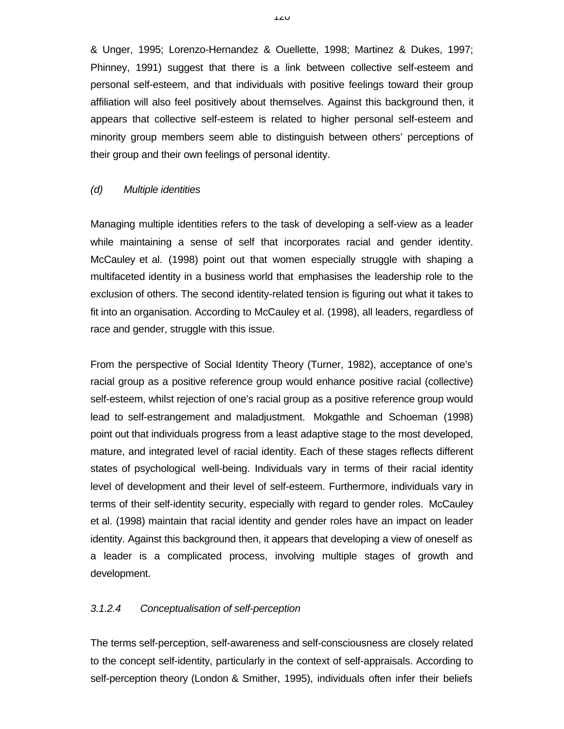& Unger, 1995; Lorenzo-Hernandez & Ouellette, 1998; Martinez & Dukes, 1997; Phinney, 1991) suggest that there is a link between collective self-esteem and personal self-esteem, and that individuals with positive feelings toward their group affiliation will also feel positively about themselves. Against this background then, it appears that collective self-esteem is related to higher personal self-esteem and minority group members seem able to distinguish between others' perceptions of their group and their own feelings of personal identity.

## *(d) Multiple identities*

Managing multiple identities refers to the task of developing a self-view as a leader while maintaining a sense of self that incorporates racial and gender identity. McCauley et al. (1998) point out that women especially struggle with shaping a multifaceted identity in a business world that emphasises the leadership role to the exclusion of others. The second identity-related tension is figuring out what it takes to fit into an organisation. According to McCauley et al. (1998), all leaders, regardless of race and gender, struggle with this issue.

From the perspective of Social Identity Theory (Turner, 1982), acceptance of one's racial group as a positive reference group would enhance positive racial (collective) self-esteem, whilst rejection of one's racial group as a positive reference group would lead to self-estrangement and maladjustment. Mokgathle and Schoeman (1998) point out that individuals progress from a least adaptive stage to the most developed, mature, and integrated level of racial identity. Each of these stages reflects different states of psychological well-being. Individuals vary in terms of their racial identity level of development and their level of self-esteem. Furthermore, individuals vary in terms of their self-identity security, especially with regard to gender roles. McCauley et al. (1998) maintain that racial identity and gender roles have an impact on leader identity. Against this background then, it appears that developing a view of oneself as a leader is a complicated process, involving multiple stages of growth and development.

# *3.1.2.4 Conceptualisation of self-perception*

The terms self-perception, self-awareness and self-consciousness are closely related to the concept self-identity, particularly in the context of self-appraisals. According to self-perception theory (London & Smither, 1995), individuals often infer their beliefs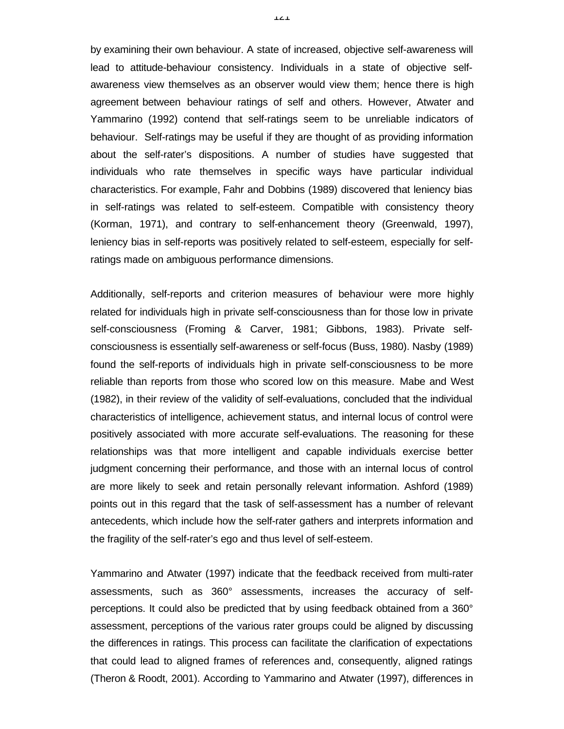by examining their own behaviour. A state of increased, objective self-awareness will lead to attitude-behaviour consistency. Individuals in a state of objective selfawareness view themselves as an observer would view them; hence there is high agreement between behaviour ratings of self and others. However, Atwater and Yammarino (1992) contend that self-ratings seem to be unreliable indicators of behaviour. Self-ratings may be useful if they are thought of as providing information about the self-rater's dispositions. A number of studies have suggested that individuals who rate themselves in specific ways have particular individual characteristics. For example, Fahr and Dobbins (1989) discovered that leniency bias in self-ratings was related to self-esteem. Compatible with consistency theory (Korman, 1971), and contrary to self-enhancement theory (Greenwald, 1997), leniency bias in self-reports was positively related to self-esteem, especially for selfratings made on ambiguous performance dimensions.

Additionally, self-reports and criterion measures of behaviour were more highly related for individuals high in private self-consciousness than for those low in private self-consciousness (Froming & Carver, 1981; Gibbons, 1983). Private selfconsciousness is essentially self-awareness or self-focus (Buss, 1980). Nasby (1989) found the self-reports of individuals high in private self-consciousness to be more reliable than reports from those who scored low on this measure. Mabe and West (1982), in their review of the validity of self-evaluations, concluded that the individual characteristics of intelligence, achievement status, and internal locus of control were positively associated with more accurate self-evaluations. The reasoning for these relationships was that more intelligent and capable individuals exercise better judgment concerning their performance, and those with an internal locus of control are more likely to seek and retain personally relevant information. Ashford (1989) points out in this regard that the task of self-assessment has a number of relevant antecedents, which include how the self-rater gathers and interprets information and the fragility of the self-rater's ego and thus level of self-esteem.

Yammarino and Atwater (1997) indicate that the feedback received from multi-rater assessments, such as 360° assessments, increases the accuracy of selfperceptions. It could also be predicted that by using feedback obtained from a 360° assessment, perceptions of the various rater groups could be aligned by discussing the differences in ratings. This process can facilitate the clarification of expectations that could lead to aligned frames of references and, consequently, aligned ratings (Theron & Roodt, 2001). According to Yammarino and Atwater (1997), differences in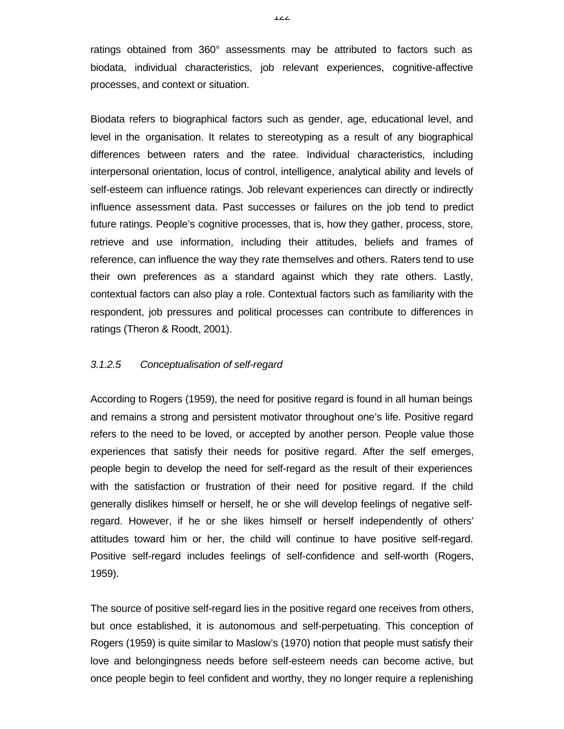ratings obtained from 360° assessments may be attributed to factors such as biodata, individual characteristics, job relevant experiences, cognitive-affective processes, and context or situation.

Biodata refers to biographical factors such as gender, age, educational level, and level in the organisation. It relates to stereotyping as a result of any biographical differences between raters and the ratee. Individual characteristics, including interpersonal orientation, locus of control, intelligence, analytical ability and levels of self-esteem can influence ratings. Job relevant experiences can directly or indirectly influence assessment data. Past successes or failures on the job tend to predict future ratings. People's cognitive processes, that is, how they gather, process, store, retrieve and use information, including their attitudes, beliefs and frames of reference, can influence the way they rate themselves and others. Raters tend to use their own preferences as a standard against which they rate others. Lastly, contextual factors can also play a role. Contextual factors such as familiarity with the respondent, job pressures and political processes can contribute to differences in ratings (Theron & Roodt, 2001).

## *3.1.2.5 Conceptualisation of self-regard*

According to Rogers (1959), the need for positive regard is found in all human beings and remains a strong and persistent motivator throughout one's life. Positive regard refers to the need to be loved, or accepted by another person. People value those experiences that satisfy their needs for positive regard. After the self emerges, people begin to develop the need for self-regard as the result of their experiences with the satisfaction or frustration of their need for positive regard. If the child generally dislikes himself or herself, he or she will develop feelings of negative selfregard. However, if he or she likes himself or herself independently of others' attitudes toward him or her, the child will continue to have positive self-regard. Positive self-regard includes feelings of self-confidence and self-worth (Rogers, 1959).

The source of positive self-regard lies in the positive regard one receives from others, but once established, it is autonomous and self-perpetuating. This conception of Rogers (1959) is quite similar to Maslow's (1970) notion that people must satisfy their love and belongingness needs before self-esteem needs can become active, but once people begin to feel confident and worthy, they no longer require a replenishing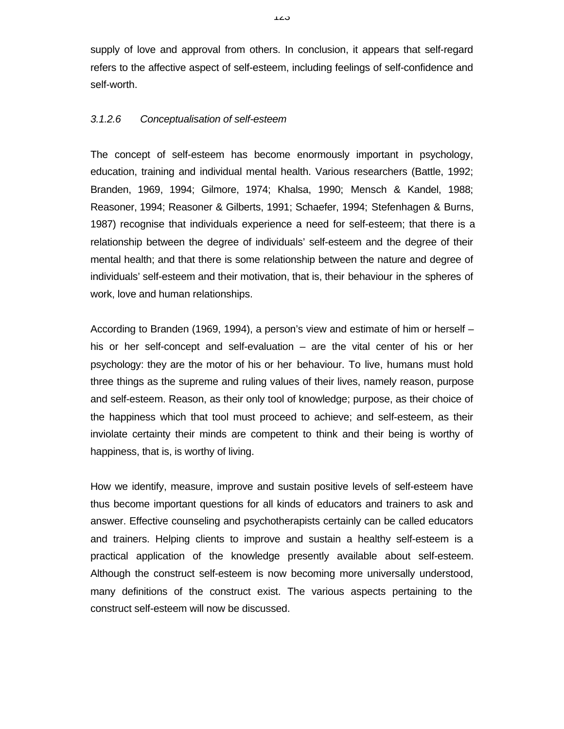supply of love and approval from others. In conclusion, it appears that self-regard refers to the affective aspect of self-esteem, including feelings of self-confidence and self-worth.

# *3.1.2.6 Conceptualisation of self-esteem*

The concept of self-esteem has become enormously important in psychology, education, training and individual mental health. Various researchers (Battle, 1992; Branden, 1969, 1994; Gilmore, 1974; Khalsa, 1990; Mensch & Kandel, 1988; Reasoner, 1994; Reasoner & Gilberts, 1991; Schaefer, 1994; Stefenhagen & Burns, 1987) recognise that individuals experience a need for self-esteem; that there is a relationship between the degree of individuals' self-esteem and the degree of their mental health; and that there is some relationship between the nature and degree of individuals' self-esteem and their motivation, that is, their behaviour in the spheres of work, love and human relationships.

According to Branden (1969, 1994), a person's view and estimate of him or herself – his or her self-concept and self-evaluation – are the vital center of his or her psychology: they are the motor of his or her behaviour. To live, humans must hold three things as the supreme and ruling values of their lives, namely reason, purpose and self-esteem. Reason, as their only tool of knowledge; purpose, as their choice of the happiness which that tool must proceed to achieve; and self-esteem, as their inviolate certainty their minds are competent to think and their being is worthy of happiness, that is, is worthy of living.

How we identify, measure, improve and sustain positive levels of self-esteem have thus become important questions for all kinds of educators and trainers to ask and answer. Effective counseling and psychotherapists certainly can be called educators and trainers. Helping clients to improve and sustain a healthy self-esteem is a practical application of the knowledge presently available about self-esteem. Although the construct self-esteem is now becoming more universally understood, many definitions of the construct exist. The various aspects pertaining to the construct self-esteem will now be discussed.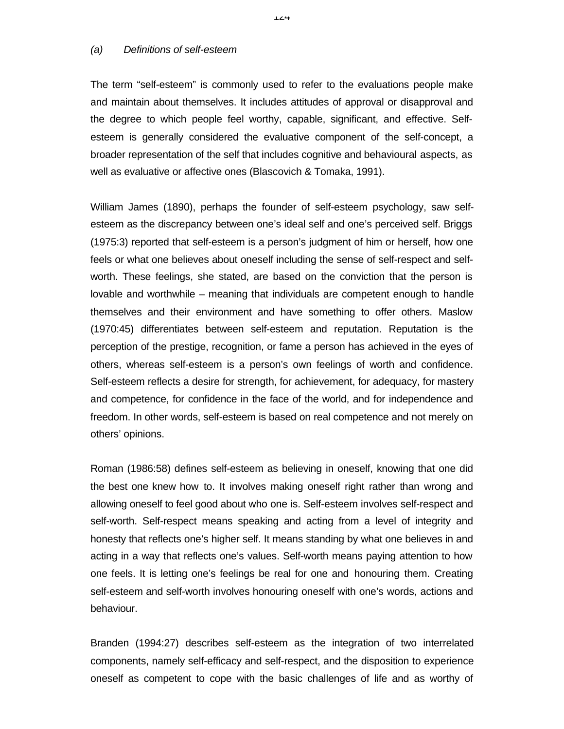#### *(a) Definitions of self-esteem*

The term "self-esteem" is commonly used to refer to the evaluations people make and maintain about themselves. It includes attitudes of approval or disapproval and the degree to which people feel worthy, capable, significant, and effective. Selfesteem is generally considered the evaluative component of the self-concept, a broader representation of the self that includes cognitive and behavioural aspects, as well as evaluative or affective ones (Blascovich & Tomaka, 1991).

William James (1890), perhaps the founder of self-esteem psychology, saw selfesteem as the discrepancy between one's ideal self and one's perceived self. Briggs (1975:3) reported that self-esteem is a person's judgment of him or herself, how one feels or what one believes about oneself including the sense of self-respect and selfworth. These feelings, she stated, are based on the conviction that the person is lovable and worthwhile – meaning that individuals are competent enough to handle themselves and their environment and have something to offer others. Maslow (1970:45) differentiates between self-esteem and reputation. Reputation is the perception of the prestige, recognition, or fame a person has achieved in the eyes of others, whereas self-esteem is a person's own feelings of worth and confidence. Self-esteem reflects a desire for strength, for achievement, for adequacy, for mastery and competence, for confidence in the face of the world, and for independence and freedom. In other words, self-esteem is based on real competence and not merely on others' opinions.

Roman (1986:58) defines self-esteem as believing in oneself, knowing that one did the best one knew how to. It involves making oneself right rather than wrong and allowing oneself to feel good about who one is. Self-esteem involves self-respect and self-worth. Self-respect means speaking and acting from a level of integrity and honesty that reflects one's higher self. It means standing by what one believes in and acting in a way that reflects one's values. Self-worth means paying attention to how one feels. It is letting one's feelings be real for one and honouring them. Creating self-esteem and self-worth involves honouring oneself with one's words, actions and behaviour.

Branden (1994:27) describes self-esteem as the integration of two interrelated components, namely self-efficacy and self-respect, and the disposition to experience oneself as competent to cope with the basic challenges of life and as worthy of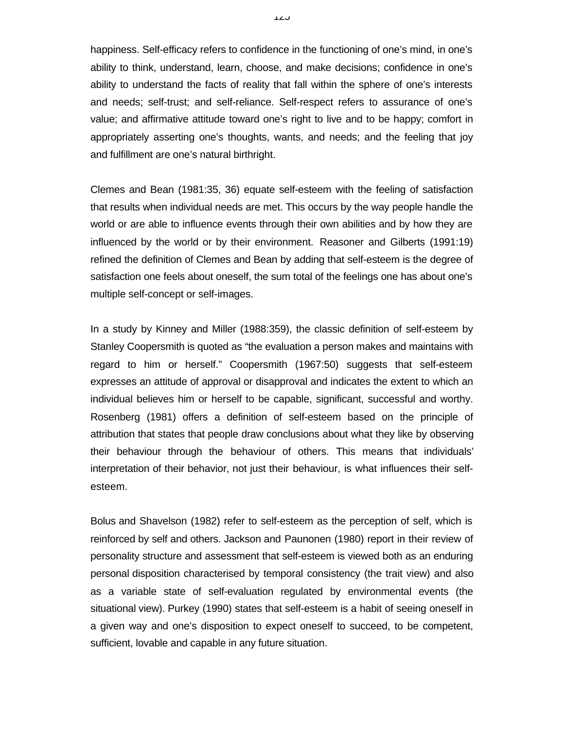happiness. Self-efficacy refers to confidence in the functioning of one's mind, in one's ability to think, understand, learn, choose, and make decisions; confidence in one's ability to understand the facts of reality that fall within the sphere of one's interests and needs; self-trust; and self-reliance. Self-respect refers to assurance of one's value; and affirmative attitude toward one's right to live and to be happy; comfort in appropriately asserting one's thoughts, wants, and needs; and the feeling that joy and fulfillment are one's natural birthright.

Clemes and Bean (1981:35, 36) equate self-esteem with the feeling of satisfaction that results when individual needs are met. This occurs by the way people handle the world or are able to influence events through their own abilities and by how they are influenced by the world or by their environment. Reasoner and Gilberts (1991:19) refined the definition of Clemes and Bean by adding that self-esteem is the degree of satisfaction one feels about oneself, the sum total of the feelings one has about one's multiple self-concept or self-images.

In a study by Kinney and Miller (1988:359), the classic definition of self-esteem by Stanley Coopersmith is quoted as "the evaluation a person makes and maintains with regard to him or herself." Coopersmith (1967:50) suggests that self-esteem expresses an attitude of approval or disapproval and indicates the extent to which an individual believes him or herself to be capable, significant, successful and worthy. Rosenberg (1981) offers a definition of self-esteem based on the principle of attribution that states that people draw conclusions about what they like by observing their behaviour through the behaviour of others. This means that individuals' interpretation of their behavior, not just their behaviour, is what influences their selfesteem.

Bolus and Shavelson (1982) refer to self-esteem as the perception of self, which is reinforced by self and others. Jackson and Paunonen (1980) report in their review of personality structure and assessment that self-esteem is viewed both as an enduring personal disposition characterised by temporal consistency (the trait view) and also as a variable state of self-evaluation regulated by environmental events (the situational view). Purkey (1990) states that self-esteem is a habit of seeing oneself in a given way and one's disposition to expect oneself to succeed, to be competent, sufficient, lovable and capable in any future situation.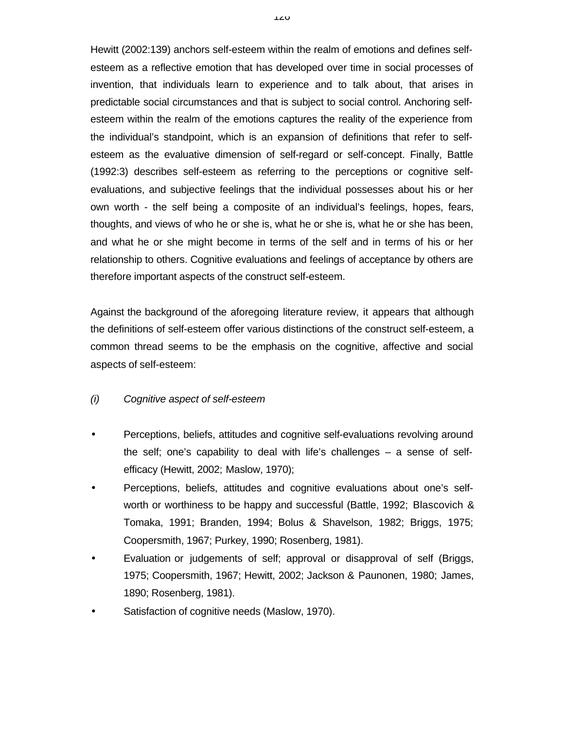Hewitt (2002:139) anchors self-esteem within the realm of emotions and defines selfesteem as a reflective emotion that has developed over time in social processes of invention, that individuals learn to experience and to talk about, that arises in predictable social circumstances and that is subject to social control. Anchoring selfesteem within the realm of the emotions captures the reality of the experience from the individual's standpoint, which is an expansion of definitions that refer to selfesteem as the evaluative dimension of self-regard or self-concept. Finally, Battle (1992:3) describes self-esteem as referring to the perceptions or cognitive selfevaluations, and subjective feelings that the individual possesses about his or her own worth - the self being a composite of an individual's feelings, hopes, fears, thoughts, and views of who he or she is, what he or she is, what he or she has been, and what he or she might become in terms of the self and in terms of his or her relationship to others. Cognitive evaluations and feelings of acceptance by others are therefore important aspects of the construct self-esteem.

Against the background of the aforegoing literature review, it appears that although the definitions of self-esteem offer various distinctions of the construct self-esteem, a common thread seems to be the emphasis on the cognitive, affective and social aspects of self-esteem:

# *(i) Cognitive aspect of self-esteem*

- Perceptions, beliefs, attitudes and cognitive self-evaluations revolving around the self; one's capability to deal with life's challenges – a sense of selfefficacy (Hewitt, 2002; Maslow, 1970);
- Perceptions, beliefs, attitudes and cognitive evaluations about one's selfworth or worthiness to be happy and successful (Battle, 1992; Blascovich & Tomaka, 1991; Branden, 1994; Bolus & Shavelson, 1982; Briggs, 1975; Coopersmith, 1967; Purkey, 1990; Rosenberg, 1981).
- Evaluation or judgements of self; approval or disapproval of self (Briggs, 1975; Coopersmith, 1967; Hewitt, 2002; Jackson & Paunonen, 1980; James, 1890; Rosenberg, 1981).
- Satisfaction of cognitive needs (Maslow, 1970).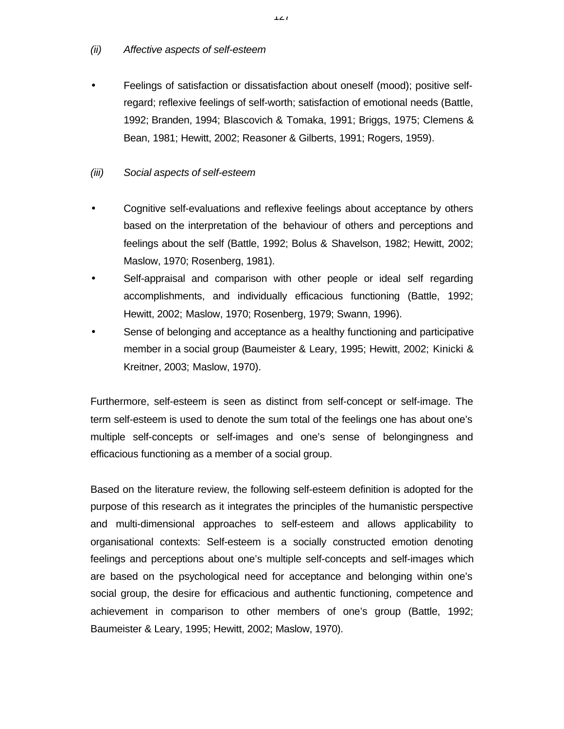## *(ii) Affective aspects of self-esteem*

• Feelings of satisfaction or dissatisfaction about oneself (mood); positive selfregard; reflexive feelings of self-worth; satisfaction of emotional needs (Battle, 1992; Branden, 1994; Blascovich & Tomaka, 1991; Briggs, 1975; Clemens & Bean, 1981; Hewitt, 2002; Reasoner & Gilberts, 1991; Rogers, 1959).

# *(iii) Social aspects of self-esteem*

- Cognitive self-evaluations and reflexive feelings about acceptance by others based on the interpretation of the behaviour of others and perceptions and feelings about the self (Battle, 1992; Bolus & Shavelson, 1982; Hewitt, 2002; Maslow, 1970; Rosenberg, 1981).
- Self-appraisal and comparison with other people or ideal self regarding accomplishments, and individually efficacious functioning (Battle, 1992; Hewitt, 2002; Maslow, 1970; Rosenberg, 1979; Swann, 1996).
- Sense of belonging and acceptance as a healthy functioning and participative member in a social group (Baumeister & Leary, 1995; Hewitt, 2002; Kinicki & Kreitner, 2003; Maslow, 1970).

Furthermore, self-esteem is seen as distinct from self-concept or self-image. The term self-esteem is used to denote the sum total of the feelings one has about one's multiple self-concepts or self-images and one's sense of belongingness and efficacious functioning as a member of a social group.

Based on the literature review, the following self-esteem definition is adopted for the purpose of this research as it integrates the principles of the humanistic perspective and multi-dimensional approaches to self-esteem and allows applicability to organisational contexts: Self-esteem is a socially constructed emotion denoting feelings and perceptions about one's multiple self-concepts and self-images which are based on the psychological need for acceptance and belonging within one's social group, the desire for efficacious and authentic functioning, competence and achievement in comparison to other members of one's group (Battle, 1992; Baumeister & Leary, 1995; Hewitt, 2002; Maslow, 1970).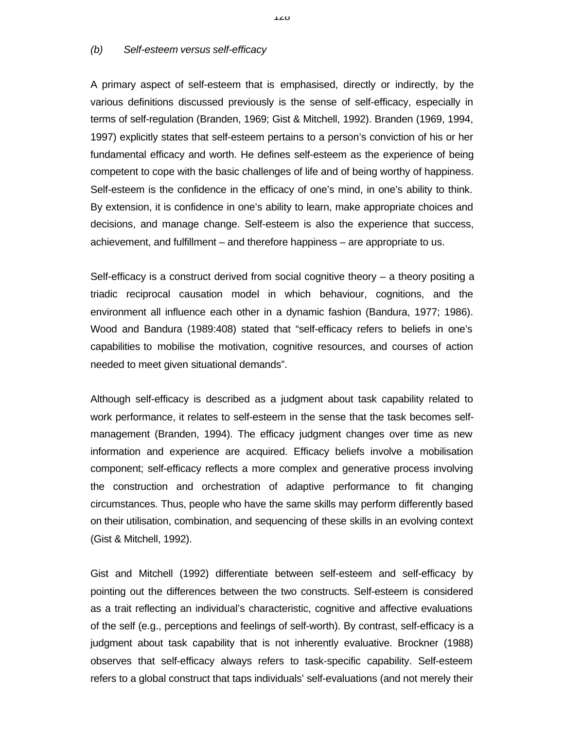#### *(b) Self-esteem versus self-efficacy*

A primary aspect of self-esteem that is emphasised, directly or indirectly, by the various definitions discussed previously is the sense of self-efficacy, especially in terms of self-regulation (Branden, 1969; Gist & Mitchell, 1992). Branden (1969, 1994, 1997) explicitly states that self-esteem pertains to a person's conviction of his or her fundamental efficacy and worth. He defines self-esteem as the experience of being competent to cope with the basic challenges of life and of being worthy of happiness. Self-esteem is the confidence in the efficacy of one's mind, in one's ability to think. By extension, it is confidence in one's ability to learn, make appropriate choices and decisions, and manage change. Self-esteem is also the experience that success, achievement, and fulfillment – and therefore happiness – are appropriate to us.

Self-efficacy is a construct derived from social cognitive theory – a theory positing a triadic reciprocal causation model in which behaviour, cognitions, and the environment all influence each other in a dynamic fashion (Bandura, 1977; 1986). Wood and Bandura (1989:408) stated that "self-efficacy refers to beliefs in one's capabilities to mobilise the motivation, cognitive resources, and courses of action needed to meet given situational demands".

Although self-efficacy is described as a judgment about task capability related to work performance, it relates to self-esteem in the sense that the task becomes selfmanagement (Branden, 1994). The efficacy judgment changes over time as new information and experience are acquired. Efficacy beliefs involve a mobilisation component; self-efficacy reflects a more complex and generative process involving the construction and orchestration of adaptive performance to fit changing circumstances. Thus, people who have the same skills may perform differently based on their utilisation, combination, and sequencing of these skills in an evolving context (Gist & Mitchell, 1992).

Gist and Mitchell (1992) differentiate between self-esteem and self-efficacy by pointing out the differences between the two constructs. Self-esteem is considered as a trait reflecting an individual's characteristic, cognitive and affective evaluations of the self (e.g., perceptions and feelings of self-worth). By contrast, self-efficacy is a judgment about task capability that is not inherently evaluative. Brockner (1988) observes that self-efficacy always refers to task-specific capability. Self-esteem refers to a global construct that taps individuals' self-evaluations (and not merely their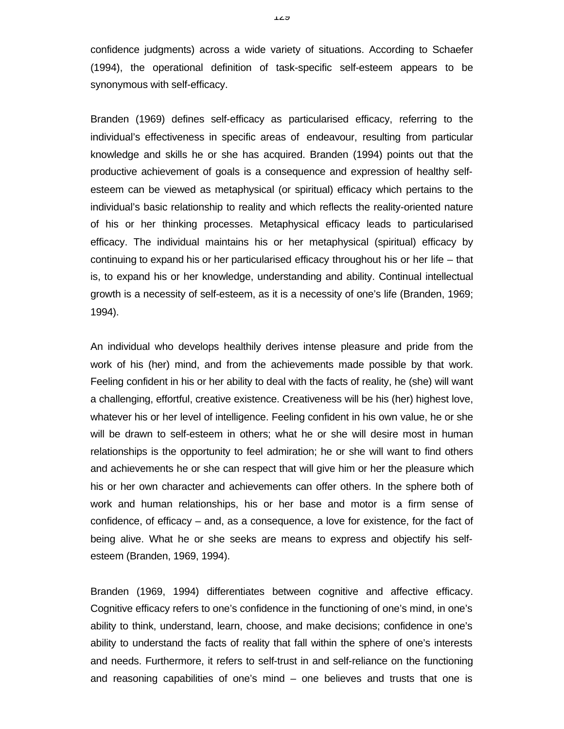confidence judgments) across a wide variety of situations. According to Schaefer (1994), the operational definition of task-specific self-esteem appears to be synonymous with self-efficacy.

Branden (1969) defines self-efficacy as particularised efficacy, referring to the individual's effectiveness in specific areas of endeavour, resulting from particular knowledge and skills he or she has acquired. Branden (1994) points out that the productive achievement of goals is a consequence and expression of healthy selfesteem can be viewed as metaphysical (or spiritual) efficacy which pertains to the individual's basic relationship to reality and which reflects the reality-oriented nature of his or her thinking processes. Metaphysical efficacy leads to particularised efficacy. The individual maintains his or her metaphysical (spiritual) efficacy by continuing to expand his or her particularised efficacy throughout his or her life – that is, to expand his or her knowledge, understanding and ability. Continual intellectual growth is a necessity of self-esteem, as it is a necessity of one's life (Branden, 1969; 1994).

An individual who develops healthily derives intense pleasure and pride from the work of his (her) mind, and from the achievements made possible by that work. Feeling confident in his or her ability to deal with the facts of reality, he (she) will want a challenging, effortful, creative existence. Creativeness will be his (her) highest love, whatever his or her level of intelligence. Feeling confident in his own value, he or she will be drawn to self-esteem in others; what he or she will desire most in human relationships is the opportunity to feel admiration; he or she will want to find others and achievements he or she can respect that will give him or her the pleasure which his or her own character and achievements can offer others. In the sphere both of work and human relationships, his or her base and motor is a firm sense of confidence, of efficacy – and, as a consequence, a love for existence, for the fact of being alive. What he or she seeks are means to express and objectify his selfesteem (Branden, 1969, 1994).

Branden (1969, 1994) differentiates between cognitive and affective efficacy. Cognitive efficacy refers to one's confidence in the functioning of one's mind, in one's ability to think, understand, learn, choose, and make decisions; confidence in one's ability to understand the facts of reality that fall within the sphere of one's interests and needs. Furthermore, it refers to self-trust in and self-reliance on the functioning and reasoning capabilities of one's mind – one believes and trusts that one is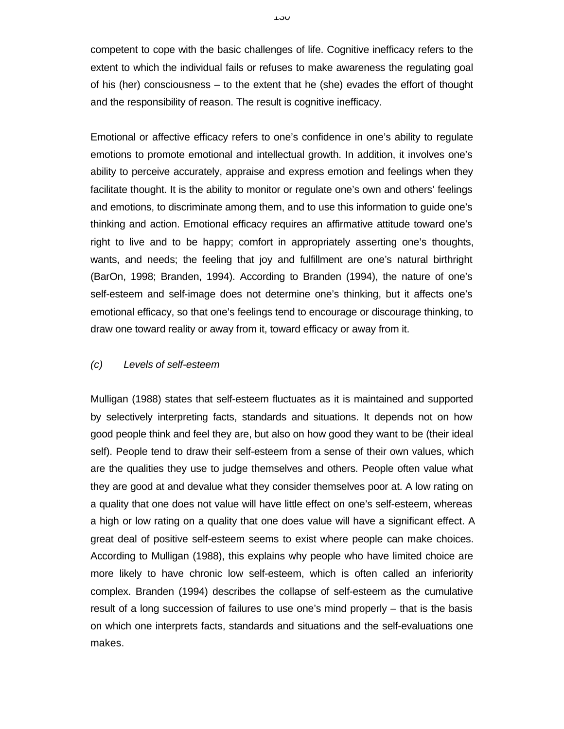competent to cope with the basic challenges of life. Cognitive inefficacy refers to the extent to which the individual fails or refuses to make awareness the regulating goal of his (her) consciousness – to the extent that he (she) evades the effort of thought and the responsibility of reason. The result is cognitive inefficacy.

Emotional or affective efficacy refers to one's confidence in one's ability to regulate emotions to promote emotional and intellectual growth. In addition, it involves one's ability to perceive accurately, appraise and express emotion and feelings when they facilitate thought. It is the ability to monitor or regulate one's own and others' feelings and emotions, to discriminate among them, and to use this information to guide one's thinking and action. Emotional efficacy requires an affirmative attitude toward one's right to live and to be happy; comfort in appropriately asserting one's thoughts, wants, and needs; the feeling that joy and fulfillment are one's natural birthright (BarOn, 1998; Branden, 1994). According to Branden (1994), the nature of one's self-esteem and self-image does not determine one's thinking, but it affects one's emotional efficacy, so that one's feelings tend to encourage or discourage thinking, to draw one toward reality or away from it, toward efficacy or away from it.

## *(c) Levels of self-esteem*

Mulligan (1988) states that self-esteem fluctuates as it is maintained and supported by selectively interpreting facts, standards and situations. It depends not on how good people think and feel they are, but also on how good they want to be (their ideal self). People tend to draw their self-esteem from a sense of their own values, which are the qualities they use to judge themselves and others. People often value what they are good at and devalue what they consider themselves poor at. A low rating on a quality that one does not value will have little effect on one's self-esteem, whereas a high or low rating on a quality that one does value will have a significant effect. A great deal of positive self-esteem seems to exist where people can make choices. According to Mulligan (1988), this explains why people who have limited choice are more likely to have chronic low self-esteem, which is often called an inferiority complex. Branden (1994) describes the collapse of self-esteem as the cumulative result of a long succession of failures to use one's mind properly – that is the basis on which one interprets facts, standards and situations and the self-evaluations one makes.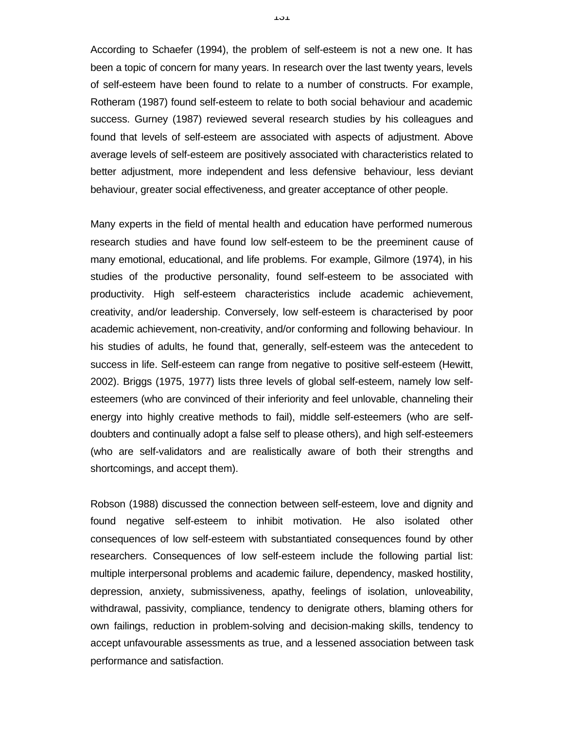According to Schaefer (1994), the problem of self-esteem is not a new one. It has been a topic of concern for many years. In research over the last twenty years, levels of self-esteem have been found to relate to a number of constructs. For example, Rotheram (1987) found self-esteem to relate to both social behaviour and academic success. Gurney (1987) reviewed several research studies by his colleagues and found that levels of self-esteem are associated with aspects of adjustment. Above average levels of self-esteem are positively associated with characteristics related to better adjustment, more independent and less defensive behaviour, less deviant behaviour, greater social effectiveness, and greater acceptance of other people.

Many experts in the field of mental health and education have performed numerous research studies and have found low self-esteem to be the preeminent cause of many emotional, educational, and life problems. For example, Gilmore (1974), in his studies of the productive personality, found self-esteem to be associated with productivity. High self-esteem characteristics include academic achievement, creativity, and/or leadership. Conversely, low self-esteem is characterised by poor academic achievement, non-creativity, and/or conforming and following behaviour. In his studies of adults, he found that, generally, self-esteem was the antecedent to success in life. Self-esteem can range from negative to positive self-esteem (Hewitt, 2002). Briggs (1975, 1977) lists three levels of global self-esteem, namely low selfesteemers (who are convinced of their inferiority and feel unlovable, channeling their energy into highly creative methods to fail), middle self-esteemers (who are selfdoubters and continually adopt a false self to please others), and high self-esteemers (who are self-validators and are realistically aware of both their strengths and shortcomings, and accept them).

Robson (1988) discussed the connection between self-esteem, love and dignity and found negative self-esteem to inhibit motivation. He also isolated other consequences of low self-esteem with substantiated consequences found by other researchers. Consequences of low self-esteem include the following partial list: multiple interpersonal problems and academic failure, dependency, masked hostility, depression, anxiety, submissiveness, apathy, feelings of isolation, unloveability, withdrawal, passivity, compliance, tendency to denigrate others, blaming others for own failings, reduction in problem-solving and decision-making skills, tendency to accept unfavourable assessments as true, and a lessened association between task performance and satisfaction.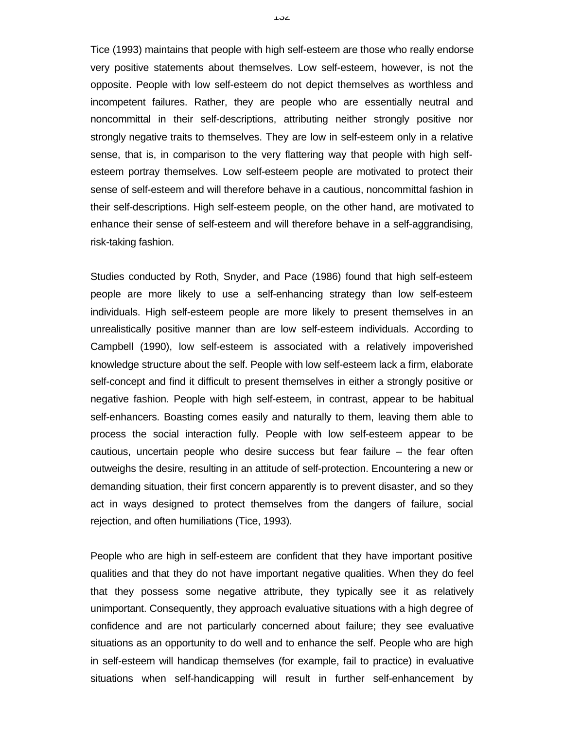Tice (1993) maintains that people with high self-esteem are those who really endorse very positive statements about themselves. Low self-esteem, however, is not the opposite. People with low self-esteem do not depict themselves as worthless and incompetent failures. Rather, they are people who are essentially neutral and noncommittal in their self-descriptions, attributing neither strongly positive nor strongly negative traits to themselves. They are low in self-esteem only in a relative sense, that is, in comparison to the very flattering way that people with high selfesteem portray themselves. Low self-esteem people are motivated to protect their sense of self-esteem and will therefore behave in a cautious, noncommittal fashion in their self-descriptions. High self-esteem people, on the other hand, are motivated to enhance their sense of self-esteem and will therefore behave in a self-aggrandising, risk-taking fashion.

Studies conducted by Roth, Snyder, and Pace (1986) found that high self-esteem people are more likely to use a self-enhancing strategy than low self-esteem individuals. High self-esteem people are more likely to present themselves in an unrealistically positive manner than are low self-esteem individuals. According to Campbell (1990), low self-esteem is associated with a relatively impoverished knowledge structure about the self. People with low self-esteem lack a firm, elaborate self-concept and find it difficult to present themselves in either a strongly positive or negative fashion. People with high self-esteem, in contrast, appear to be habitual self-enhancers. Boasting comes easily and naturally to them, leaving them able to process the social interaction fully. People with low self-esteem appear to be cautious, uncertain people who desire success but fear failure – the fear often outweighs the desire, resulting in an attitude of self-protection. Encountering a new or demanding situation, their first concern apparently is to prevent disaster, and so they act in ways designed to protect themselves from the dangers of failure, social rejection, and often humiliations (Tice, 1993).

People who are high in self-esteem are confident that they have important positive qualities and that they do not have important negative qualities. When they do feel that they possess some negative attribute, they typically see it as relatively unimportant. Consequently, they approach evaluative situations with a high degree of confidence and are not particularly concerned about failure; they see evaluative situations as an opportunity to do well and to enhance the self. People who are high in self-esteem will handicap themselves (for example, fail to practice) in evaluative situations when self-handicapping will result in further self-enhancement by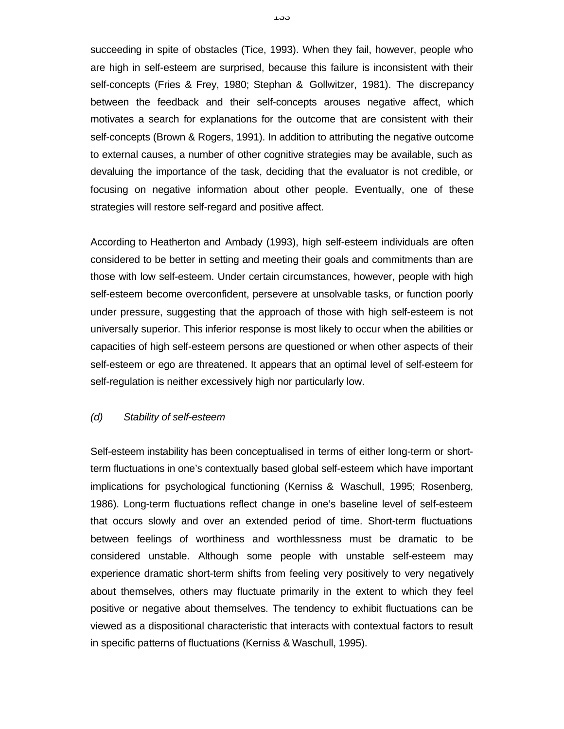succeeding in spite of obstacles (Tice, 1993). When they fail, however, people who are high in self-esteem are surprised, because this failure is inconsistent with their self-concepts (Fries & Frey, 1980; Stephan & Gollwitzer, 1981). The discrepancy between the feedback and their self-concepts arouses negative affect, which motivates a search for explanations for the outcome that are consistent with their self-concepts (Brown & Rogers, 1991). In addition to attributing the negative outcome to external causes, a number of other cognitive strategies may be available, such as devaluing the importance of the task, deciding that the evaluator is not credible, or focusing on negative information about other people. Eventually, one of these strategies will restore self-regard and positive affect.

According to Heatherton and Ambady (1993), high self-esteem individuals are often considered to be better in setting and meeting their goals and commitments than are those with low self-esteem. Under certain circumstances, however, people with high self-esteem become overconfident, persevere at unsolvable tasks, or function poorly under pressure, suggesting that the approach of those with high self-esteem is not universally superior. This inferior response is most likely to occur when the abilities or capacities of high self-esteem persons are questioned or when other aspects of their self-esteem or ego are threatened. It appears that an optimal level of self-esteem for self-regulation is neither excessively high nor particularly low.

#### *(d) Stability of self-esteem*

Self-esteem instability has been conceptualised in terms of either long-term or shortterm fluctuations in one's contextually based global self-esteem which have important implications for psychological functioning (Kerniss & Waschull, 1995; Rosenberg, 1986). Long-term fluctuations reflect change in one's baseline level of self-esteem that occurs slowly and over an extended period of time. Short-term fluctuations between feelings of worthiness and worthlessness must be dramatic to be considered unstable. Although some people with unstable self-esteem may experience dramatic short-term shifts from feeling very positively to very negatively about themselves, others may fluctuate primarily in the extent to which they feel positive or negative about themselves. The tendency to exhibit fluctuations can be viewed as a dispositional characteristic that interacts with contextual factors to result in specific patterns of fluctuations (Kerniss & Waschull, 1995).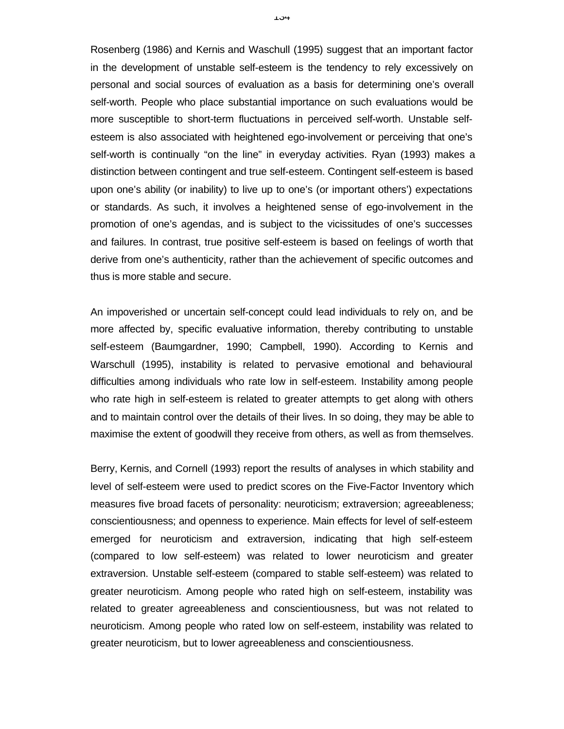Rosenberg (1986) and Kernis and Waschull (1995) suggest that an important factor in the development of unstable self-esteem is the tendency to rely excessively on personal and social sources of evaluation as a basis for determining one's overall self-worth. People who place substantial importance on such evaluations would be more susceptible to short-term fluctuations in perceived self-worth. Unstable selfesteem is also associated with heightened ego-involvement or perceiving that one's self-worth is continually "on the line" in everyday activities. Ryan (1993) makes a distinction between contingent and true self-esteem. Contingent self-esteem is based upon one's ability (or inability) to live up to one's (or important others') expectations or standards. As such, it involves a heightened sense of ego-involvement in the promotion of one's agendas, and is subject to the vicissitudes of one's successes and failures. In contrast, true positive self-esteem is based on feelings of worth that derive from one's authenticity, rather than the achievement of specific outcomes and thus is more stable and secure.

An impoverished or uncertain self-concept could lead individuals to rely on, and be more affected by, specific evaluative information, thereby contributing to unstable self-esteem (Baumgardner, 1990; Campbell, 1990). According to Kernis and Warschull (1995), instability is related to pervasive emotional and behavioural difficulties among individuals who rate low in self-esteem. Instability among people who rate high in self-esteem is related to greater attempts to get along with others and to maintain control over the details of their lives. In so doing, they may be able to maximise the extent of goodwill they receive from others, as well as from themselves.

Berry, Kernis, and Cornell (1993) report the results of analyses in which stability and level of self-esteem were used to predict scores on the Five-Factor Inventory which measures five broad facets of personality: neuroticism; extraversion; agreeableness; conscientiousness; and openness to experience. Main effects for level of self-esteem emerged for neuroticism and extraversion, indicating that high self-esteem (compared to low self-esteem) was related to lower neuroticism and greater extraversion. Unstable self-esteem (compared to stable self-esteem) was related to greater neuroticism. Among people who rated high on self-esteem, instability was related to greater agreeableness and conscientiousness, but was not related to neuroticism. Among people who rated low on self-esteem, instability was related to greater neuroticism, but to lower agreeableness and conscientiousness.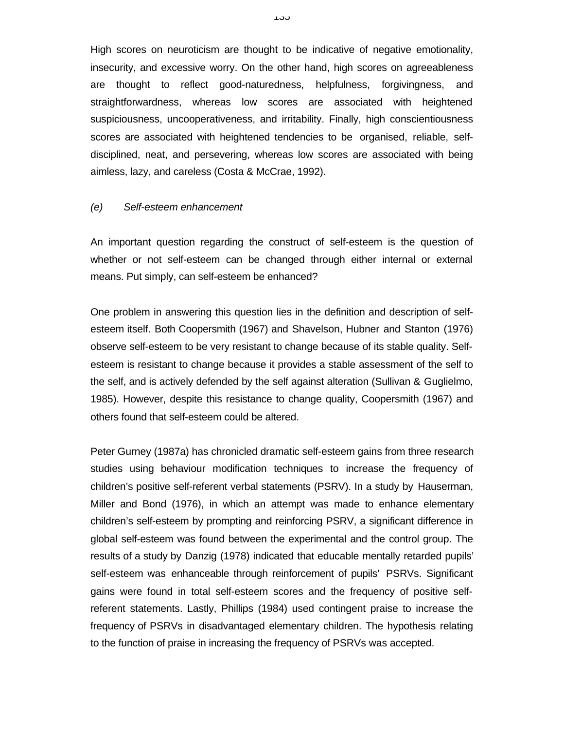High scores on neuroticism are thought to be indicative of negative emotionality, insecurity, and excessive worry. On the other hand, high scores on agreeableness are thought to reflect good-naturedness, helpfulness, forgivingness, and straightforwardness, whereas low scores are associated with heightened suspiciousness, uncooperativeness, and irritability. Finally, high conscientiousness scores are associated with heightened tendencies to be organised, reliable, selfdisciplined, neat, and persevering, whereas low scores are associated with being aimless, lazy, and careless (Costa & McCrae, 1992).

#### *(e) Self-esteem enhancement*

An important question regarding the construct of self-esteem is the question of whether or not self-esteem can be changed through either internal or external means. Put simply, can self-esteem be enhanced?

One problem in answering this question lies in the definition and description of selfesteem itself. Both Coopersmith (1967) and Shavelson, Hubner and Stanton (1976) observe self-esteem to be very resistant to change because of its stable quality. Selfesteem is resistant to change because it provides a stable assessment of the self to the self, and is actively defended by the self against alteration (Sullivan & Guglielmo, 1985). However, despite this resistance to change quality, Coopersmith (1967) and others found that self-esteem could be altered.

Peter Gurney (1987a) has chronicled dramatic self-esteem gains from three research studies using behaviour modification techniques to increase the frequency of children's positive self-referent verbal statements (PSRV). In a study by Hauserman, Miller and Bond (1976), in which an attempt was made to enhance elementary children's self-esteem by prompting and reinforcing PSRV, a significant difference in global self-esteem was found between the experimental and the control group. The results of a study by Danzig (1978) indicated that educable mentally retarded pupils' self-esteem was enhanceable through reinforcement of pupils' PSRVs. Significant gains were found in total self-esteem scores and the frequency of positive selfreferent statements. Lastly, Phillips (1984) used contingent praise to increase the frequency of PSRVs in disadvantaged elementary children. The hypothesis relating to the function of praise in increasing the frequency of PSRVs was accepted.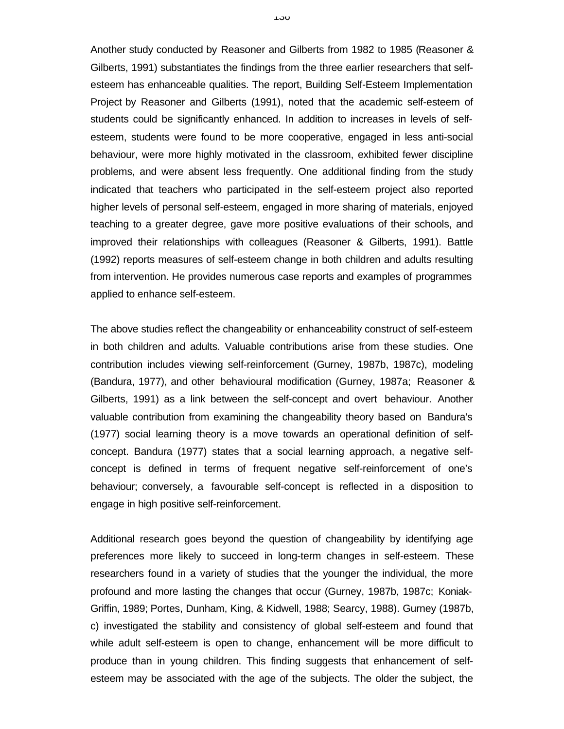Another study conducted by Reasoner and Gilberts from 1982 to 1985 (Reasoner & Gilberts, 1991) substantiates the findings from the three earlier researchers that selfesteem has enhanceable qualities. The report, Building Self-Esteem Implementation Project by Reasoner and Gilberts (1991), noted that the academic self-esteem of students could be significantly enhanced. In addition to increases in levels of selfesteem, students were found to be more cooperative, engaged in less anti-social behaviour, were more highly motivated in the classroom, exhibited fewer discipline problems, and were absent less frequently. One additional finding from the study indicated that teachers who participated in the self-esteem project also reported higher levels of personal self-esteem, engaged in more sharing of materials, enjoyed teaching to a greater degree, gave more positive evaluations of their schools, and improved their relationships with colleagues (Reasoner & Gilberts, 1991). Battle (1992) reports measures of self-esteem change in both children and adults resulting from intervention. He provides numerous case reports and examples of programmes applied to enhance self-esteem.

The above studies reflect the changeability or enhanceability construct of self-esteem in both children and adults. Valuable contributions arise from these studies. One contribution includes viewing self-reinforcement (Gurney, 1987b, 1987c), modeling (Bandura, 1977), and other behavioural modification (Gurney, 1987a; Reasoner & Gilberts, 1991) as a link between the self-concept and overt behaviour. Another valuable contribution from examining the changeability theory based on Bandura's (1977) social learning theory is a move towards an operational definition of selfconcept. Bandura (1977) states that a social learning approach, a negative selfconcept is defined in terms of frequent negative self-reinforcement of one's behaviour; conversely, a favourable self-concept is reflected in a disposition to engage in high positive self-reinforcement.

Additional research goes beyond the question of changeability by identifying age preferences more likely to succeed in long-term changes in self-esteem. These researchers found in a variety of studies that the younger the individual, the more profound and more lasting the changes that occur (Gurney, 1987b, 1987c; Koniak-Griffin, 1989; Portes, Dunham, King, & Kidwell, 1988; Searcy, 1988). Gurney (1987b, c) investigated the stability and consistency of global self-esteem and found that while adult self-esteem is open to change, enhancement will be more difficult to produce than in young children. This finding suggests that enhancement of selfesteem may be associated with the age of the subjects. The older the subject, the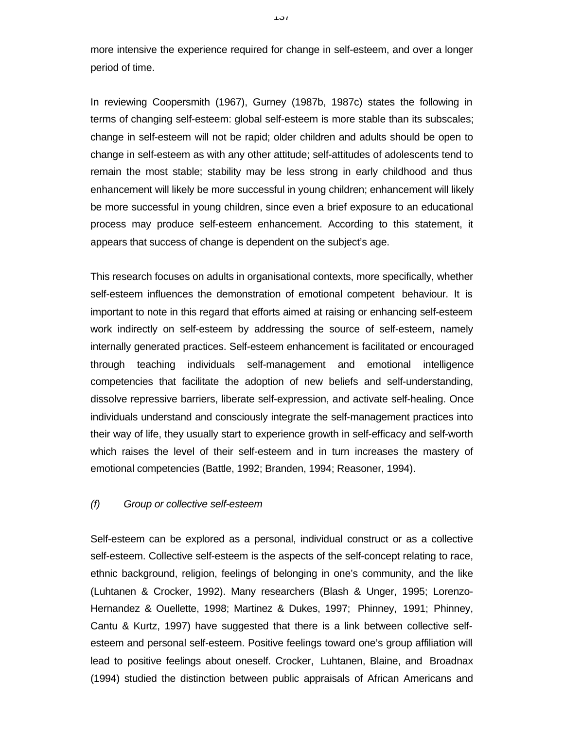more intensive the experience required for change in self-esteem, and over a longer period of time.

In reviewing Coopersmith (1967), Gurney (1987b, 1987c) states the following in terms of changing self-esteem: global self-esteem is more stable than its subscales; change in self-esteem will not be rapid; older children and adults should be open to change in self-esteem as with any other attitude; self-attitudes of adolescents tend to remain the most stable; stability may be less strong in early childhood and thus enhancement will likely be more successful in young children; enhancement will likely be more successful in young children, since even a brief exposure to an educational process may produce self-esteem enhancement. According to this statement, it appears that success of change is dependent on the subject's age.

This research focuses on adults in organisational contexts, more specifically, whether self-esteem influences the demonstration of emotional competent behaviour. It is important to note in this regard that efforts aimed at raising or enhancing self-esteem work indirectly on self-esteem by addressing the source of self-esteem, namely internally generated practices. Self-esteem enhancement is facilitated or encouraged through teaching individuals self-management and emotional intelligence competencies that facilitate the adoption of new beliefs and self-understanding, dissolve repressive barriers, liberate self-expression, and activate self-healing. Once individuals understand and consciously integrate the self-management practices into their way of life, they usually start to experience growth in self-efficacy and self-worth which raises the level of their self-esteem and in turn increases the mastery of emotional competencies (Battle, 1992; Branden, 1994; Reasoner, 1994).

#### *(f) Group or collective self-esteem*

Self-esteem can be explored as a personal, individual construct or as a collective self-esteem. Collective self-esteem is the aspects of the self-concept relating to race, ethnic background, religion, feelings of belonging in one's community, and the like (Luhtanen & Crocker, 1992). Many researchers (Blash & Unger, 1995; Lorenzo-Hernandez & Ouellette, 1998; Martinez & Dukes, 1997; Phinney, 1991; Phinney, Cantu & Kurtz, 1997) have suggested that there is a link between collective selfesteem and personal self-esteem. Positive feelings toward one's group affiliation will lead to positive feelings about oneself. Crocker, Luhtanen, Blaine, and Broadnax (1994) studied the distinction between public appraisals of African Americans and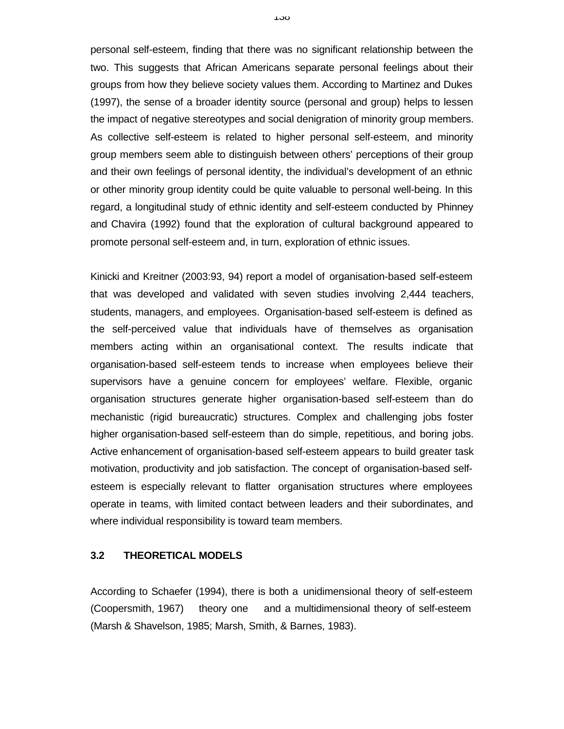personal self-esteem, finding that there was no significant relationship between the two. This suggests that African Americans separate personal feelings about their groups from how they believe society values them. According to Martinez and Dukes (1997), the sense of a broader identity source (personal and group) helps to lessen the impact of negative stereotypes and social denigration of minority group members. As collective self-esteem is related to higher personal self-esteem, and minority group members seem able to distinguish between others' perceptions of their group and their own feelings of personal identity, the individual's development of an ethnic or other minority group identity could be quite valuable to personal well-being. In this regard, a longitudinal study of ethnic identity and self-esteem conducted by Phinney and Chavira (1992) found that the exploration of cultural background appeared to promote personal self-esteem and, in turn, exploration of ethnic issues.

Kinicki and Kreitner (2003:93, 94) report a model of organisation-based self-esteem that was developed and validated with seven studies involving 2,444 teachers, students, managers, and employees. Organisation-based self-esteem is defined as the self-perceived value that individuals have of themselves as organisation members acting within an organisational context. The results indicate that organisation-based self-esteem tends to increase when employees believe their supervisors have a genuine concern for employees' welfare. Flexible, organic organisation structures generate higher organisation-based self-esteem than do mechanistic (rigid bureaucratic) structures. Complex and challenging jobs foster higher organisation-based self-esteem than do simple, repetitious, and boring jobs. Active enhancement of organisation-based self-esteem appears to build greater task motivation, productivity and job satisfaction. The concept of organisation-based selfesteem is especially relevant to flatter organisation structures where employees operate in teams, with limited contact between leaders and their subordinates, and where individual responsibility is toward team members.

#### **3.2 THEORETICAL MODELS**

According to Schaefer (1994), there is both a unidimensional theory of self-esteem (Coopersmith, 1967) theory one and a multidimensional theory of self-esteem (Marsh & Shavelson, 1985; Marsh, Smith, & Barnes, 1983).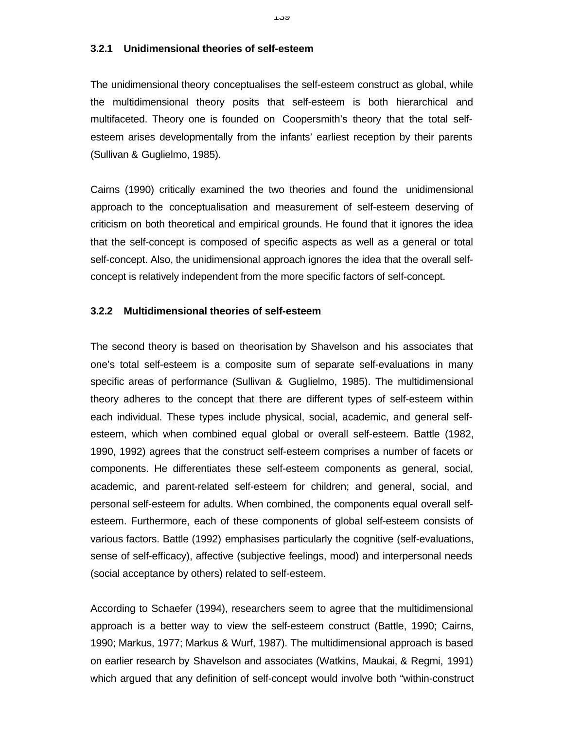#### **3.2.1 Unidimensional theories of self-esteem**

The unidimensional theory conceptualises the self-esteem construct as global, while the multidimensional theory posits that self-esteem is both hierarchical and multifaceted. Theory one is founded on Coopersmith's theory that the total selfesteem arises developmentally from the infants' earliest reception by their parents (Sullivan & Guglielmo, 1985).

Cairns (1990) critically examined the two theories and found the unidimensional approach to the conceptualisation and measurement of self-esteem deserving of criticism on both theoretical and empirical grounds. He found that it ignores the idea that the self-concept is composed of specific aspects as well as a general or total self-concept. Also, the unidimensional approach ignores the idea that the overall selfconcept is relatively independent from the more specific factors of self-concept.

#### **3.2.2 Multidimensional theories of self-esteem**

The second theory is based on theorisation by Shavelson and his associates that one's total self-esteem is a composite sum of separate self-evaluations in many specific areas of performance (Sullivan & Guglielmo, 1985). The multidimensional theory adheres to the concept that there are different types of self-esteem within each individual. These types include physical, social, academic, and general selfesteem, which when combined equal global or overall self-esteem. Battle (1982, 1990, 1992) agrees that the construct self-esteem comprises a number of facets or components. He differentiates these self-esteem components as general, social, academic, and parent-related self-esteem for children; and general, social, and personal self-esteem for adults. When combined, the components equal overall selfesteem. Furthermore, each of these components of global self-esteem consists of various factors. Battle (1992) emphasises particularly the cognitive (self-evaluations, sense of self-efficacy), affective (subjective feelings, mood) and interpersonal needs (social acceptance by others) related to self-esteem.

According to Schaefer (1994), researchers seem to agree that the multidimensional approach is a better way to view the self-esteem construct (Battle, 1990; Cairns, 1990; Markus, 1977; Markus & Wurf, 1987). The multidimensional approach is based on earlier research by Shavelson and associates (Watkins, Maukai, & Regmi, 1991) which argued that any definition of self-concept would involve both "within-construct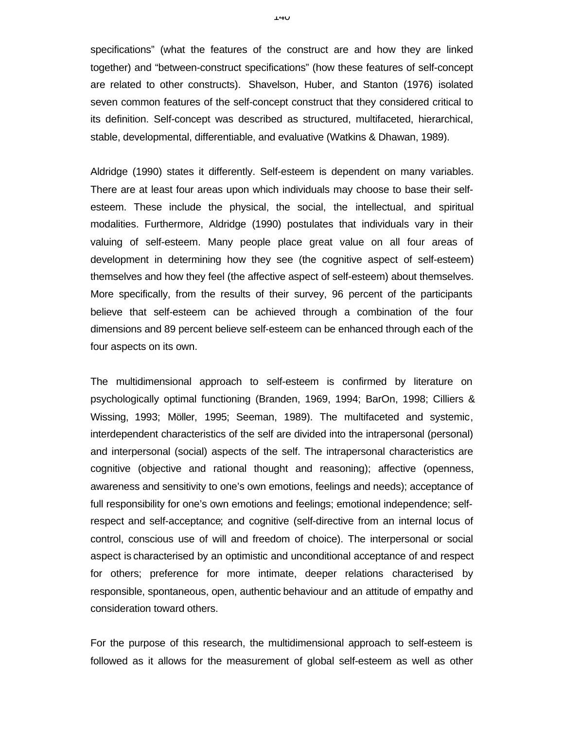specifications" (what the features of the construct are and how they are linked together) and "between-construct specifications" (how these features of self-concept are related to other constructs). Shavelson, Huber, and Stanton (1976) isolated seven common features of the self-concept construct that they considered critical to its definition. Self-concept was described as structured, multifaceted, hierarchical, stable, developmental, differentiable, and evaluative (Watkins & Dhawan, 1989).

Aldridge (1990) states it differently. Self-esteem is dependent on many variables. There are at least four areas upon which individuals may choose to base their selfesteem. These include the physical, the social, the intellectual, and spiritual modalities. Furthermore, Aldridge (1990) postulates that individuals vary in their valuing of self-esteem. Many people place great value on all four areas of development in determining how they see (the cognitive aspect of self-esteem) themselves and how they feel (the affective aspect of self-esteem) about themselves. More specifically, from the results of their survey, 96 percent of the participants believe that self-esteem can be achieved through a combination of the four dimensions and 89 percent believe self-esteem can be enhanced through each of the four aspects on its own.

The multidimensional approach to self-esteem is confirmed by literature on psychologically optimal functioning (Branden, 1969, 1994; BarOn, 1998; Cilliers & Wissing, 1993; Möller, 1995; Seeman, 1989). The multifaceted and systemic, interdependent characteristics of the self are divided into the intrapersonal (personal) and interpersonal (social) aspects of the self. The intrapersonal characteristics are cognitive (objective and rational thought and reasoning); affective (openness, awareness and sensitivity to one's own emotions, feelings and needs); acceptance of full responsibility for one's own emotions and feelings; emotional independence; selfrespect and self-acceptance; and cognitive (self-directive from an internal locus of control, conscious use of will and freedom of choice). The interpersonal or social aspect is characterised by an optimistic and unconditional acceptance of and respect for others; preference for more intimate, deeper relations characterised by responsible, spontaneous, open, authentic behaviour and an attitude of empathy and consideration toward others.

For the purpose of this research, the multidimensional approach to self-esteem is followed as it allows for the measurement of global self-esteem as well as other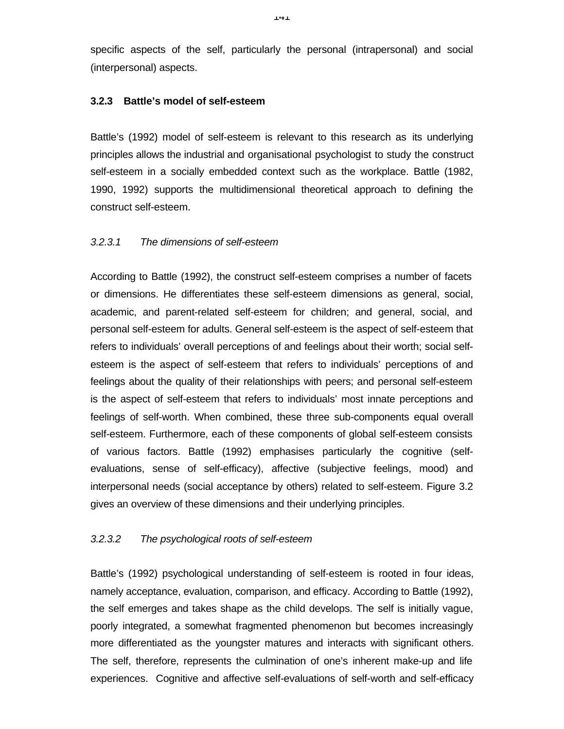specific aspects of the self, particularly the personal (intrapersonal) and social (interpersonal) aspects.

## **3.2.3 Battle's model of self-esteem**

Battle's (1992) model of self-esteem is relevant to this research as its underlying principles allows the industrial and organisational psychologist to study the construct self-esteem in a socially embedded context such as the workplace. Battle (1982, 1990, 1992) supports the multidimensional theoretical approach to defining the construct self-esteem.

## *3.2.3.1 The dimensions of self-esteem*

According to Battle (1992), the construct self-esteem comprises a number of facets or dimensions. He differentiates these self-esteem dimensions as general, social, academic, and parent-related self-esteem for children; and general, social, and personal self-esteem for adults. General self-esteem is the aspect of self-esteem that refers to individuals' overall perceptions of and feelings about their worth; social selfesteem is the aspect of self-esteem that refers to individuals' perceptions of and feelings about the quality of their relationships with peers; and personal self-esteem is the aspect of self-esteem that refers to individuals' most innate perceptions and feelings of self-worth. When combined, these three sub-components equal overall self-esteem. Furthermore, each of these components of global self-esteem consists of various factors. Battle (1992) emphasises particularly the cognitive (selfevaluations, sense of self-efficacy), affective (subjective feelings, mood) and interpersonal needs (social acceptance by others) related to self-esteem. Figure 3.2 gives an overview of these dimensions and their underlying principles.

#### *3.2.3.2 The psychological roots of self-esteem*

Battle's (1992) psychological understanding of self-esteem is rooted in four ideas, namely acceptance, evaluation, comparison, and efficacy. According to Battle (1992), the self emerges and takes shape as the child develops. The self is initially vague, poorly integrated, a somewhat fragmented phenomenon but becomes increasingly more differentiated as the youngster matures and interacts with significant others. The self, therefore, represents the culmination of one's inherent make-up and life experiences. Cognitive and affective self-evaluations of self-worth and self-efficacy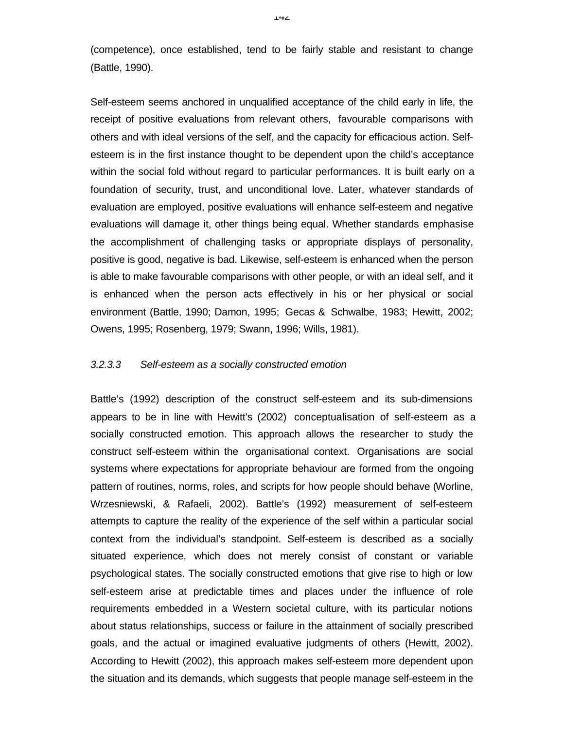(competence), once established, tend to be fairly stable and resistant to change (Battle, 1990).

Self-esteem seems anchored in unqualified acceptance of the child early in life, the receipt of positive evaluations from relevant others, favourable comparisons with others and with ideal versions of the self, and the capacity for efficacious action. Selfesteem is in the first instance thought to be dependent upon the child's acceptance within the social fold without regard to particular performances. It is built early on a foundation of security, trust, and unconditional love. Later, whatever standards of evaluation are employed, positive evaluations will enhance self-esteem and negative evaluations will damage it, other things being equal. Whether standards emphasise the accomplishment of challenging tasks or appropriate displays of personality, positive is good, negative is bad. Likewise, self-esteem is enhanced when the person is able to make favourable comparisons with other people, or with an ideal self, and it is enhanced when the person acts effectively in his or her physical or social environment (Battle, 1990; Damon, 1995; Gecas & Schwalbe, 1983; Hewitt, 2002; Owens, 1995; Rosenberg, 1979; Swann, 1996; Wills, 1981).

#### *3.2.3.3 Self-esteem as a socially constructed emotion*

Battle's (1992) description of the construct self-esteem and its sub-dimensions appears to be in line with Hewitt's (2002) conceptualisation of self-esteem as a socially constructed emotion. This approach allows the researcher to study the construct self-esteem within the organisational context. Organisations are social systems where expectations for appropriate behaviour are formed from the ongoing pattern of routines, norms, roles, and scripts for how people should behave (Worline, Wrzesniewski, & Rafaeli, 2002). Battle's (1992) measurement of self-esteem attempts to capture the reality of the experience of the self within a particular social context from the individual's standpoint. Self-esteem is described as a socially situated experience, which does not merely consist of constant or variable psychological states. The socially constructed emotions that give rise to high or low self-esteem arise at predictable times and places under the influence of role requirements embedded in a Western societal culture, with its particular notions about status relationships, success or failure in the attainment of socially prescribed goals, and the actual or imagined evaluative judgments of others (Hewitt, 2002). According to Hewitt (2002), this approach makes self-esteem more dependent upon the situation and its demands, which suggests that people manage self-esteem in the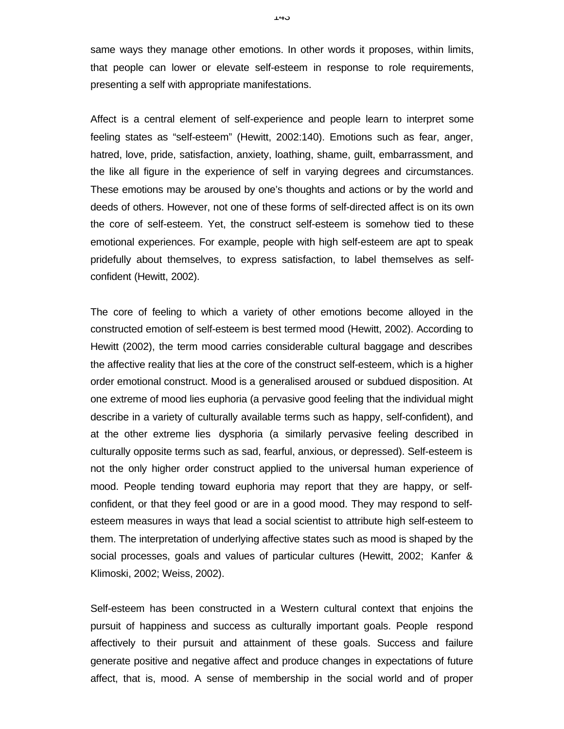same ways they manage other emotions. In other words it proposes, within limits, that people can lower or elevate self-esteem in response to role requirements, presenting a self with appropriate manifestations.

Affect is a central element of self-experience and people learn to interpret some feeling states as "self-esteem" (Hewitt, 2002:140). Emotions such as fear, anger, hatred, love, pride, satisfaction, anxiety, loathing, shame, guilt, embarrassment, and the like all figure in the experience of self in varying degrees and circumstances. These emotions may be aroused by one's thoughts and actions or by the world and deeds of others. However, not one of these forms of self-directed affect is on its own the core of self-esteem. Yet, the construct self-esteem is somehow tied to these emotional experiences. For example, people with high self-esteem are apt to speak pridefully about themselves, to express satisfaction, to label themselves as selfconfident (Hewitt, 2002).

The core of feeling to which a variety of other emotions become alloyed in the constructed emotion of self-esteem is best termed mood (Hewitt, 2002). According to Hewitt (2002), the term mood carries considerable cultural baggage and describes the affective reality that lies at the core of the construct self-esteem, which is a higher order emotional construct. Mood is a generalised aroused or subdued disposition. At one extreme of mood lies euphoria (a pervasive good feeling that the individual might describe in a variety of culturally available terms such as happy, self-confident), and at the other extreme lies dysphoria (a similarly pervasive feeling described in culturally opposite terms such as sad, fearful, anxious, or depressed). Self-esteem is not the only higher order construct applied to the universal human experience of mood. People tending toward euphoria may report that they are happy, or selfconfident, or that they feel good or are in a good mood. They may respond to selfesteem measures in ways that lead a social scientist to attribute high self-esteem to them. The interpretation of underlying affective states such as mood is shaped by the social processes, goals and values of particular cultures (Hewitt, 2002; Kanfer & Klimoski, 2002; Weiss, 2002).

Self-esteem has been constructed in a Western cultural context that enjoins the pursuit of happiness and success as culturally important goals. People respond affectively to their pursuit and attainment of these goals. Success and failure generate positive and negative affect and produce changes in expectations of future affect, that is, mood. A sense of membership in the social world and of proper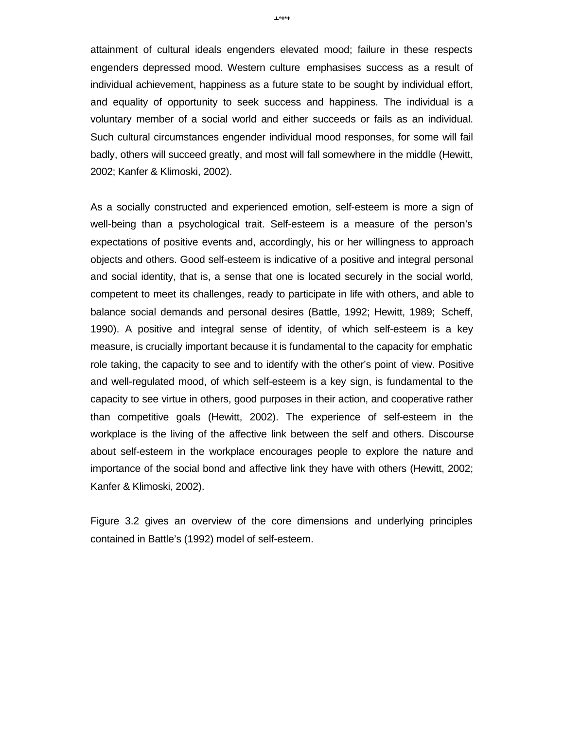attainment of cultural ideals engenders elevated mood; failure in these respects engenders depressed mood. Western culture emphasises success as a result of individual achievement, happiness as a future state to be sought by individual effort, and equality of opportunity to seek success and happiness. The individual is a voluntary member of a social world and either succeeds or fails as an individual. Such cultural circumstances engender individual mood responses, for some will fail badly, others will succeed greatly, and most will fall somewhere in the middle (Hewitt, 2002; Kanfer & Klimoski, 2002).

As a socially constructed and experienced emotion, self-esteem is more a sign of well-being than a psychological trait. Self-esteem is a measure of the person's expectations of positive events and, accordingly, his or her willingness to approach objects and others. Good self-esteem is indicative of a positive and integral personal and social identity, that is, a sense that one is located securely in the social world, competent to meet its challenges, ready to participate in life with others, and able to balance social demands and personal desires (Battle, 1992; Hewitt, 1989; Scheff, 1990). A positive and integral sense of identity, of which self-esteem is a key measure, is crucially important because it is fundamental to the capacity for emphatic role taking, the capacity to see and to identify with the other's point of view. Positive and well-regulated mood, of which self-esteem is a key sign, is fundamental to the capacity to see virtue in others, good purposes in their action, and cooperative rather than competitive goals (Hewitt, 2002). The experience of self-esteem in the workplace is the living of the affective link between the self and others. Discourse about self-esteem in the workplace encourages people to explore the nature and importance of the social bond and affective link they have with others (Hewitt, 2002; Kanfer & Klimoski, 2002).

Figure 3.2 gives an overview of the core dimensions and underlying principles contained in Battle's (1992) model of self-esteem.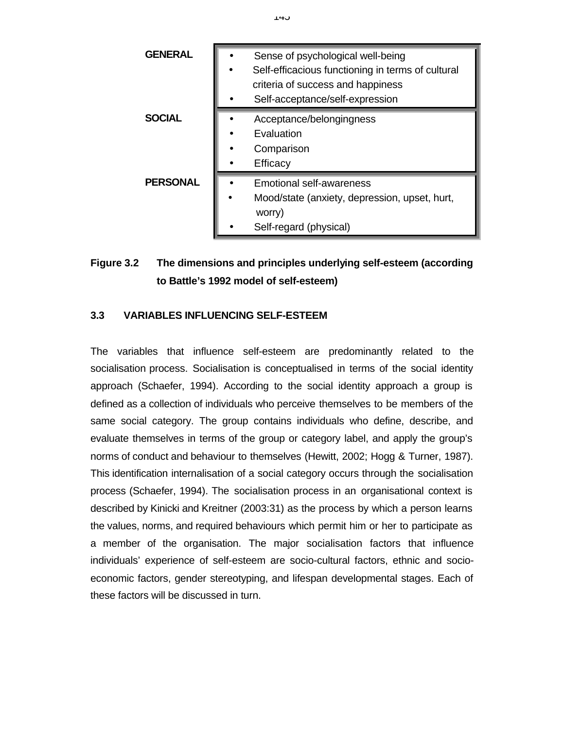| <b>GENERAL</b>  | Sense of psychological well-being<br>Self-efficacious functioning in terms of cultural<br>criteria of success and happiness<br>Self-acceptance/self-expression |
|-----------------|----------------------------------------------------------------------------------------------------------------------------------------------------------------|
| <b>SOCIAL</b>   | Acceptance/belongingness<br>Evaluation<br>Comparison<br>Efficacy                                                                                               |
| <b>PERSONAL</b> | <b>Emotional self-awareness</b><br>Mood/state (anxiety, depression, upset, hurt,<br>worry)<br>Self-regard (physical)                                           |

# **Figure 3.2 The dimensions and principles underlying self-esteem (according to Battle's 1992 model of self-esteem)**

# **3.3 VARIABLES INFLUENCING SELF-ESTEEM**

The variables that influence self-esteem are predominantly related to the socialisation process. Socialisation is conceptualised in terms of the social identity approach (Schaefer, 1994). According to the social identity approach a group is defined as a collection of individuals who perceive themselves to be members of the same social category. The group contains individuals who define, describe, and evaluate themselves in terms of the group or category label, and apply the group's norms of conduct and behaviour to themselves (Hewitt, 2002; Hogg & Turner, 1987). This identification internalisation of a social category occurs through the socialisation process (Schaefer, 1994). The socialisation process in an organisational context is described by Kinicki and Kreitner (2003:31) as the process by which a person learns the values, norms, and required behaviours which permit him or her to participate as a member of the organisation. The major socialisation factors that influence individuals' experience of self-esteem are socio-cultural factors, ethnic and socioeconomic factors, gender stereotyping, and lifespan developmental stages. Each of these factors will be discussed in turn.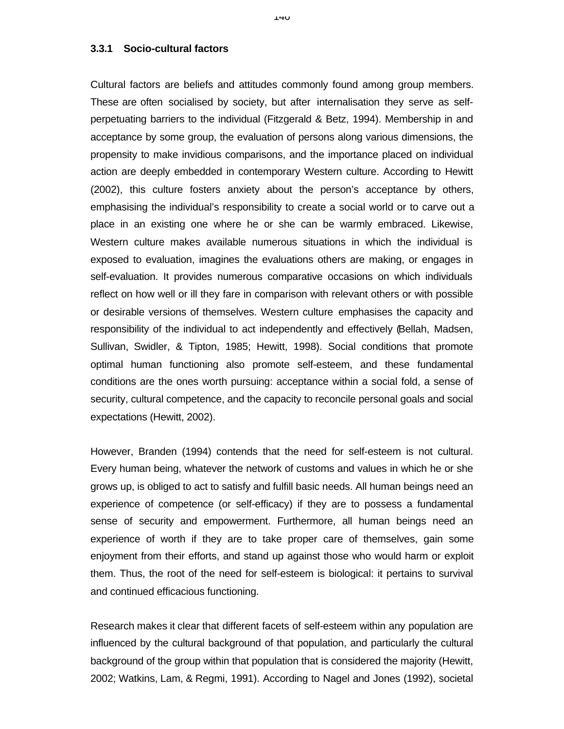#### **3.3.1 Socio-cultural factors**

Cultural factors are beliefs and attitudes commonly found among group members. These are often socialised by society, but after internalisation they serve as selfperpetuating barriers to the individual (Fitzgerald & Betz, 1994). Membership in and acceptance by some group, the evaluation of persons along various dimensions, the propensity to make invidious comparisons, and the importance placed on individual action are deeply embedded in contemporary Western culture. According to Hewitt (2002), this culture fosters anxiety about the person's acceptance by others, emphasising the individual's responsibility to create a social world or to carve out a place in an existing one where he or she can be warmly embraced. Likewise, Western culture makes available numerous situations in which the individual is exposed to evaluation, imagines the evaluations others are making, or engages in self-evaluation. It provides numerous comparative occasions on which individuals reflect on how well or ill they fare in comparison with relevant others or with possible or desirable versions of themselves. Western culture emphasises the capacity and responsibility of the individual to act independently and effectively (Bellah, Madsen, Sullivan, Swidler, & Tipton, 1985; Hewitt, 1998). Social conditions that promote optimal human functioning also promote self-esteem, and these fundamental conditions are the ones worth pursuing: acceptance within a social fold, a sense of security, cultural competence, and the capacity to reconcile personal goals and social expectations (Hewitt, 2002).

However, Branden (1994) contends that the need for self-esteem is not cultural. Every human being, whatever the network of customs and values in which he or she grows up, is obliged to act to satisfy and fulfill basic needs. All human beings need an experience of competence (or self-efficacy) if they are to possess a fundamental sense of security and empowerment. Furthermore, all human beings need an experience of worth if they are to take proper care of themselves, gain some enjoyment from their efforts, and stand up against those who would harm or exploit them. Thus, the root of the need for self-esteem is biological: it pertains to survival and continued efficacious functioning.

Research makes it clear that different facets of self-esteem within any population are influenced by the cultural background of that population, and particularly the cultural background of the group within that population that is considered the majority (Hewitt, 2002; Watkins, Lam, & Regmi, 1991). According to Nagel and Jones (1992), societal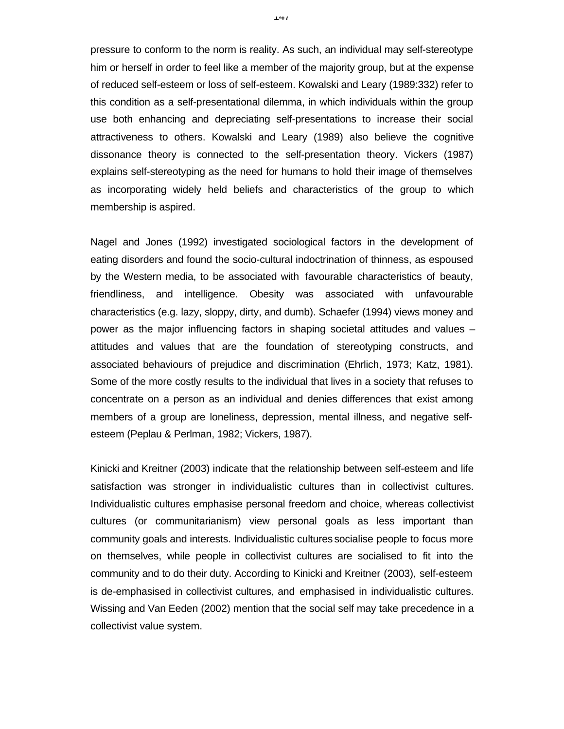pressure to conform to the norm is reality. As such, an individual may self-stereotype him or herself in order to feel like a member of the majority group, but at the expense of reduced self-esteem or loss of self-esteem. Kowalski and Leary (1989:332) refer to this condition as a self-presentational dilemma, in which individuals within the group use both enhancing and depreciating self-presentations to increase their social attractiveness to others. Kowalski and Leary (1989) also believe the cognitive dissonance theory is connected to the self-presentation theory. Vickers (1987) explains self-stereotyping as the need for humans to hold their image of themselves as incorporating widely held beliefs and characteristics of the group to which membership is aspired.

Nagel and Jones (1992) investigated sociological factors in the development of eating disorders and found the socio-cultural indoctrination of thinness, as espoused by the Western media, to be associated with favourable characteristics of beauty, friendliness, and intelligence. Obesity was associated with unfavourable characteristics (e.g. lazy, sloppy, dirty, and dumb). Schaefer (1994) views money and power as the major influencing factors in shaping societal attitudes and values – attitudes and values that are the foundation of stereotyping constructs, and associated behaviours of prejudice and discrimination (Ehrlich, 1973; Katz, 1981). Some of the more costly results to the individual that lives in a society that refuses to concentrate on a person as an individual and denies differences that exist among members of a group are loneliness, depression, mental illness, and negative selfesteem (Peplau & Perlman, 1982; Vickers, 1987).

Kinicki and Kreitner (2003) indicate that the relationship between self-esteem and life satisfaction was stronger in individualistic cultures than in collectivist cultures. Individualistic cultures emphasise personal freedom and choice, whereas collectivist cultures (or communitarianism) view personal goals as less important than community goals and interests. Individualistic cultures socialise people to focus more on themselves, while people in collectivist cultures are socialised to fit into the community and to do their duty. According to Kinicki and Kreitner (2003), self-esteem is de-emphasised in collectivist cultures, and emphasised in individualistic cultures. Wissing and Van Eeden (2002) mention that the social self may take precedence in a collectivist value system.

 $1 + 1$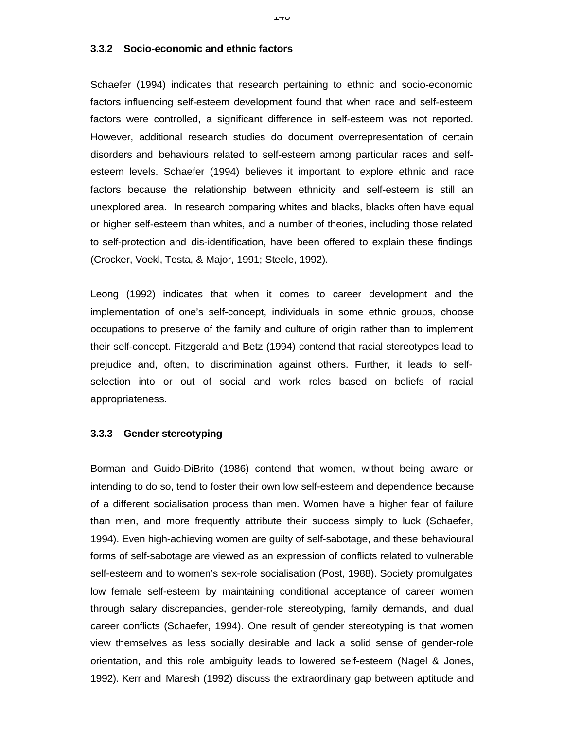#### **3.3.2 Socio-economic and ethnic factors**

Schaefer (1994) indicates that research pertaining to ethnic and socio-economic factors influencing self-esteem development found that when race and self-esteem factors were controlled, a significant difference in self-esteem was not reported. However, additional research studies do document overrepresentation of certain disorders and behaviours related to self-esteem among particular races and selfesteem levels. Schaefer (1994) believes it important to explore ethnic and race factors because the relationship between ethnicity and self-esteem is still an unexplored area. In research comparing whites and blacks, blacks often have equal or higher self-esteem than whites, and a number of theories, including those related to self-protection and dis-identification, have been offered to explain these findings (Crocker, Voekl, Testa, & Major, 1991; Steele, 1992).

Leong (1992) indicates that when it comes to career development and the implementation of one's self-concept, individuals in some ethnic groups, choose occupations to preserve of the family and culture of origin rather than to implement their self-concept. Fitzgerald and Betz (1994) contend that racial stereotypes lead to prejudice and, often, to discrimination against others. Further, it leads to selfselection into or out of social and work roles based on beliefs of racial appropriateness.

#### **3.3.3 Gender stereotyping**

Borman and Guido-DiBrito (1986) contend that women, without being aware or intending to do so, tend to foster their own low self-esteem and dependence because of a different socialisation process than men. Women have a higher fear of failure than men, and more frequently attribute their success simply to luck (Schaefer, 1994). Even high-achieving women are guilty of self-sabotage, and these behavioural forms of self-sabotage are viewed as an expression of conflicts related to vulnerable self-esteem and to women's sex-role socialisation (Post, 1988). Society promulgates low female self-esteem by maintaining conditional acceptance of career women through salary discrepancies, gender-role stereotyping, family demands, and dual career conflicts (Schaefer, 1994). One result of gender stereotyping is that women view themselves as less socially desirable and lack a solid sense of gender-role orientation, and this role ambiguity leads to lowered self-esteem (Nagel & Jones, 1992). Kerr and Maresh (1992) discuss the extraordinary gap between aptitude and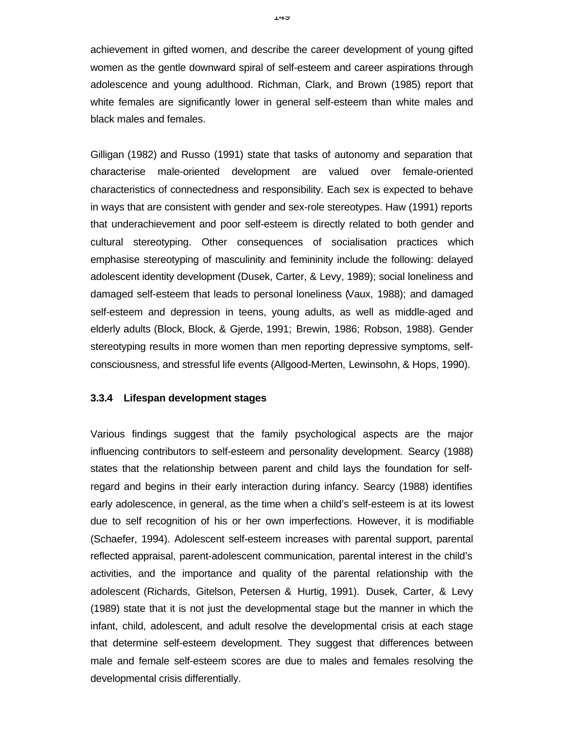achievement in gifted women, and describe the career development of young gifted women as the gentle downward spiral of self-esteem and career aspirations through adolescence and young adulthood. Richman, Clark, and Brown (1985) report that white females are significantly lower in general self-esteem than white males and black males and females.

Gilligan (1982) and Russo (1991) state that tasks of autonomy and separation that characterise male-oriented development are valued over female-oriented characteristics of connectedness and responsibility. Each sex is expected to behave in ways that are consistent with gender and sex-role stereotypes. Haw (1991) reports that underachievement and poor self-esteem is directly related to both gender and cultural stereotyping. Other consequences of socialisation practices which emphasise stereotyping of masculinity and femininity include the following: delayed adolescent identity development (Dusek, Carter, & Levy, 1989); social loneliness and damaged self-esteem that leads to personal loneliness (Vaux, 1988); and damaged self-esteem and depression in teens, young adults, as well as middle-aged and elderly adults (Block, Block, & Gjerde, 1991; Brewin, 1986; Robson, 1988). Gender stereotyping results in more women than men reporting depressive symptoms, selfconsciousness, and stressful life events (Allgood-Merten, Lewinsohn, & Hops, 1990).

#### **3.3.4 Lifespan development stages**

Various findings suggest that the family psychological aspects are the major influencing contributors to self-esteem and personality development. Searcy (1988) states that the relationship between parent and child lays the foundation for selfregard and begins in their early interaction during infancy. Searcy (1988) identifies early adolescence, in general, as the time when a child's self-esteem is at its lowest due to self recognition of his or her own imperfections. However, it is modifiable (Schaefer, 1994). Adolescent self-esteem increases with parental support, parental reflected appraisal, parent-adolescent communication, parental interest in the child's activities, and the importance and quality of the parental relationship with the adolescent (Richards, Gitelson, Petersen & Hurtig, 1991). Dusek, Carter, & Levy (1989) state that it is not just the developmental stage but the manner in which the infant, child, adolescent, and adult resolve the developmental crisis at each stage that determine self-esteem development. They suggest that differences between male and female self-esteem scores are due to males and females resolving the developmental crisis differentially.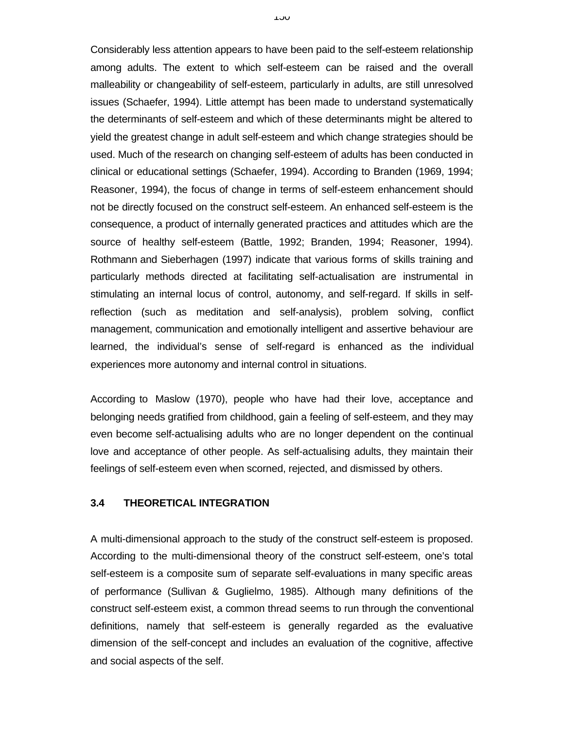Considerably less attention appears to have been paid to the self-esteem relationship among adults. The extent to which self-esteem can be raised and the overall malleability or changeability of self-esteem, particularly in adults, are still unresolved issues (Schaefer, 1994). Little attempt has been made to understand systematically the determinants of self-esteem and which of these determinants might be altered to yield the greatest change in adult self-esteem and which change strategies should be used. Much of the research on changing self-esteem of adults has been conducted in clinical or educational settings (Schaefer, 1994). According to Branden (1969, 1994; Reasoner, 1994), the focus of change in terms of self-esteem enhancement should not be directly focused on the construct self-esteem. An enhanced self-esteem is the consequence, a product of internally generated practices and attitudes which are the source of healthy self-esteem (Battle, 1992; Branden, 1994; Reasoner, 1994). Rothmann and Sieberhagen (1997) indicate that various forms of skills training and particularly methods directed at facilitating self-actualisation are instrumental in stimulating an internal locus of control, autonomy, and self-regard. If skills in selfreflection (such as meditation and self-analysis), problem solving, conflict management, communication and emotionally intelligent and assertive behaviour are learned, the individual's sense of self-regard is enhanced as the individual experiences more autonomy and internal control in situations.

According to Maslow (1970), people who have had their love, acceptance and belonging needs gratified from childhood, gain a feeling of self-esteem, and they may even become self-actualising adults who are no longer dependent on the continual love and acceptance of other people. As self-actualising adults, they maintain their feelings of self-esteem even when scorned, rejected, and dismissed by others.

#### **3.4 THEORETICAL INTEGRATION**

A multi-dimensional approach to the study of the construct self-esteem is proposed. According to the multi-dimensional theory of the construct self-esteem, one's total self-esteem is a composite sum of separate self-evaluations in many specific areas of performance (Sullivan & Guglielmo, 1985). Although many definitions of the construct self-esteem exist, a common thread seems to run through the conventional definitions, namely that self-esteem is generally regarded as the evaluative dimension of the self-concept and includes an evaluation of the cognitive, affective and social aspects of the self.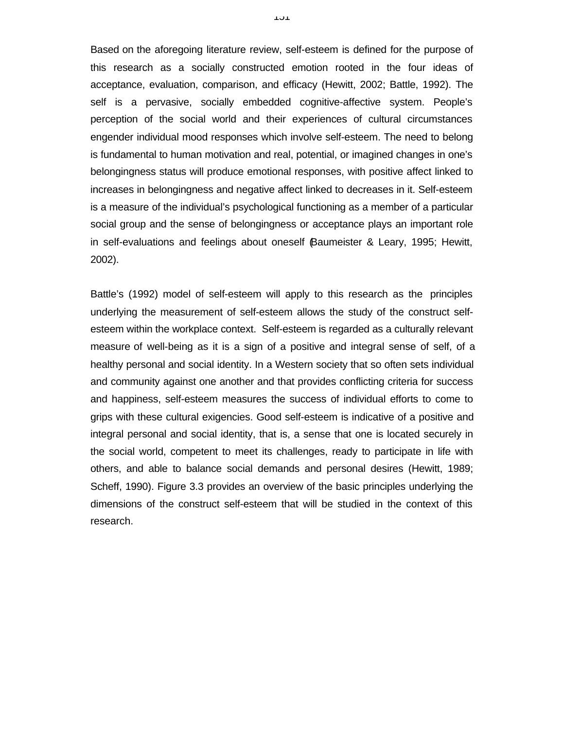Based on the aforegoing literature review, self-esteem is defined for the purpose of this research as a socially constructed emotion rooted in the four ideas of acceptance, evaluation, comparison, and efficacy (Hewitt, 2002; Battle, 1992). The self is a pervasive, socially embedded cognitive-affective system. People's perception of the social world and their experiences of cultural circumstances engender individual mood responses which involve self-esteem. The need to belong is fundamental to human motivation and real, potential, or imagined changes in one's belongingness status will produce emotional responses, with positive affect linked to increases in belongingness and negative affect linked to decreases in it. Self-esteem is a measure of the individual's psychological functioning as a member of a particular social group and the sense of belongingness or acceptance plays an important role in self-evaluations and feelings about oneself (Baumeister & Leary, 1995; Hewitt, 2002).

Battle's (1992) model of self-esteem will apply to this research as the principles underlying the measurement of self-esteem allows the study of the construct selfesteem within the workplace context. Self-esteem is regarded as a culturally relevant measure of well-being as it is a sign of a positive and integral sense of self, of a healthy personal and social identity. In a Western society that so often sets individual and community against one another and that provides conflicting criteria for success and happiness, self-esteem measures the success of individual efforts to come to grips with these cultural exigencies. Good self-esteem is indicative of a positive and integral personal and social identity, that is, a sense that one is located securely in the social world, competent to meet its challenges, ready to participate in life with others, and able to balance social demands and personal desires (Hewitt, 1989; Scheff, 1990). Figure 3.3 provides an overview of the basic principles underlying the dimensions of the construct self-esteem that will be studied in the context of this research.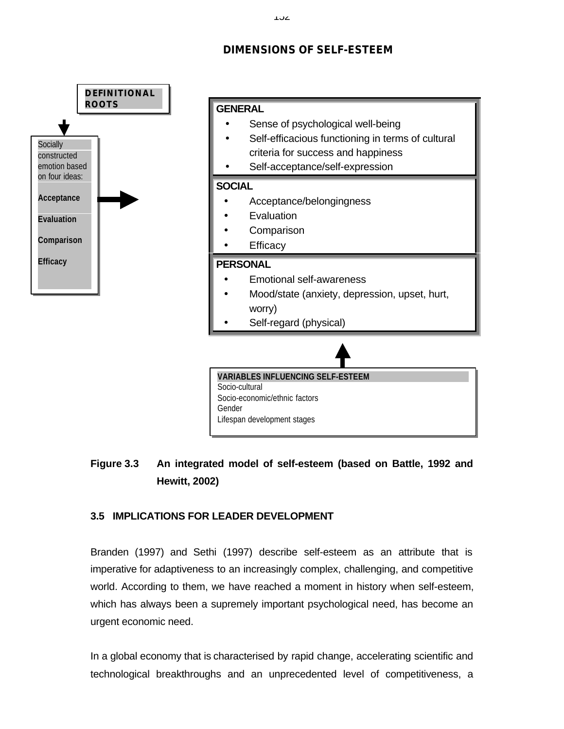# **DIMENSIONS OF SELF-ESTEEM**



# **Figure 3.3 An integrated model of self-esteem (based on Battle, 1992 and Hewitt, 2002)**

# **3.5 IMPLICATIONS FOR LEADER DEVELOPMENT**

Branden (1997) and Sethi (1997) describe self-esteem as an attribute that is imperative for adaptiveness to an increasingly complex, challenging, and competitive world. According to them, we have reached a moment in history when self-esteem, which has always been a supremely important psychological need, has become an urgent economic need.

In a global economy that is characterised by rapid change, accelerating scientific and technological breakthroughs and an unprecedented level of competitiveness, a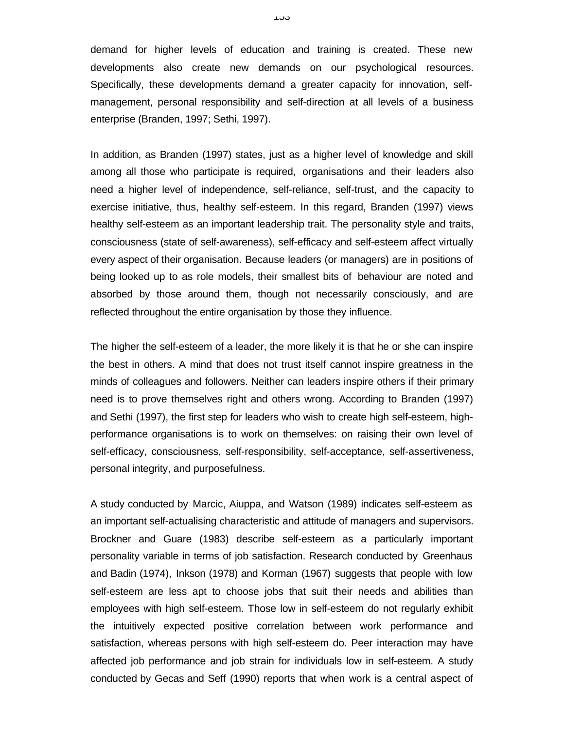demand for higher levels of education and training is created. These new developments also create new demands on our psychological resources. Specifically, these developments demand a greater capacity for innovation, selfmanagement, personal responsibility and self-direction at all levels of a business enterprise (Branden, 1997; Sethi, 1997).

In addition, as Branden (1997) states, just as a higher level of knowledge and skill among all those who participate is required, organisations and their leaders also need a higher level of independence, self-reliance, self-trust, and the capacity to exercise initiative, thus, healthy self-esteem. In this regard, Branden (1997) views healthy self-esteem as an important leadership trait. The personality style and traits, consciousness (state of self-awareness), self-efficacy and self-esteem affect virtually every aspect of their organisation. Because leaders (or managers) are in positions of being looked up to as role models, their smallest bits of behaviour are noted and absorbed by those around them, though not necessarily consciously, and are reflected throughout the entire organisation by those they influence.

The higher the self-esteem of a leader, the more likely it is that he or she can inspire the best in others. A mind that does not trust itself cannot inspire greatness in the minds of colleagues and followers. Neither can leaders inspire others if their primary need is to prove themselves right and others wrong. According to Branden (1997) and Sethi (1997), the first step for leaders who wish to create high self-esteem, highperformance organisations is to work on themselves: on raising their own level of self-efficacy, consciousness, self-responsibility, self-acceptance, self-assertiveness, personal integrity, and purposefulness.

A study conducted by Marcic, Aiuppa, and Watson (1989) indicates self-esteem as an important self-actualising characteristic and attitude of managers and supervisors. Brockner and Guare (1983) describe self-esteem as a particularly important personality variable in terms of job satisfaction. Research conducted by Greenhaus and Badin (1974), Inkson (1978) and Korman (1967) suggests that people with low self-esteem are less apt to choose jobs that suit their needs and abilities than employees with high self-esteem. Those low in self-esteem do not regularly exhibit the intuitively expected positive correlation between work performance and satisfaction, whereas persons with high self-esteem do. Peer interaction may have affected job performance and job strain for individuals low in self-esteem. A study conducted by Gecas and Seff (1990) reports that when work is a central aspect of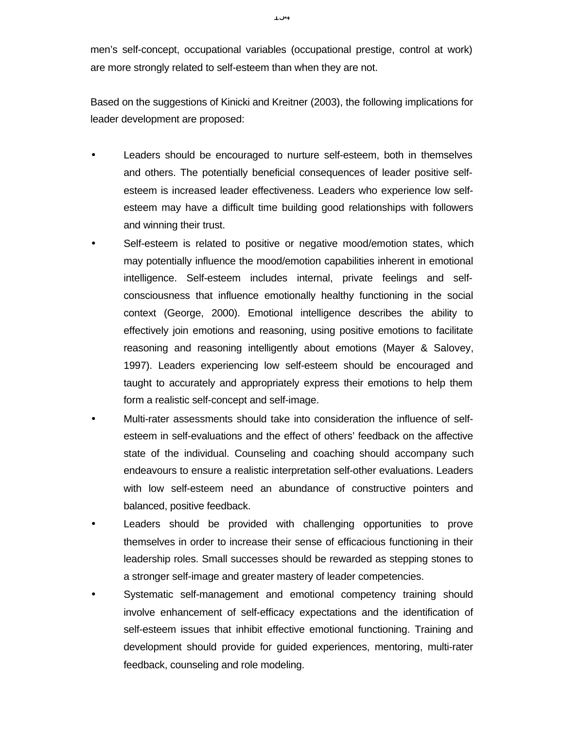men's self-concept, occupational variables (occupational prestige, control at work) are more strongly related to self-esteem than when they are not.

Based on the suggestions of Kinicki and Kreitner (2003), the following implications for leader development are proposed:

- Leaders should be encouraged to nurture self-esteem, both in themselves and others. The potentially beneficial consequences of leader positive selfesteem is increased leader effectiveness. Leaders who experience low selfesteem may have a difficult time building good relationships with followers and winning their trust.
- Self-esteem is related to positive or negative mood/emotion states, which may potentially influence the mood/emotion capabilities inherent in emotional intelligence. Self-esteem includes internal, private feelings and selfconsciousness that influence emotionally healthy functioning in the social context (George, 2000). Emotional intelligence describes the ability to effectively join emotions and reasoning, using positive emotions to facilitate reasoning and reasoning intelligently about emotions (Mayer & Salovey, 1997). Leaders experiencing low self-esteem should be encouraged and taught to accurately and appropriately express their emotions to help them form a realistic self-concept and self-image.
- Multi-rater assessments should take into consideration the influence of selfesteem in self-evaluations and the effect of others' feedback on the affective state of the individual. Counseling and coaching should accompany such endeavours to ensure a realistic interpretation self-other evaluations. Leaders with low self-esteem need an abundance of constructive pointers and balanced, positive feedback.
- Leaders should be provided with challenging opportunities to prove themselves in order to increase their sense of efficacious functioning in their leadership roles. Small successes should be rewarded as stepping stones to a stronger self-image and greater mastery of leader competencies.
- Systematic self-management and emotional competency training should involve enhancement of self-efficacy expectations and the identification of self-esteem issues that inhibit effective emotional functioning. Training and development should provide for guided experiences, mentoring, multi-rater feedback, counseling and role modeling.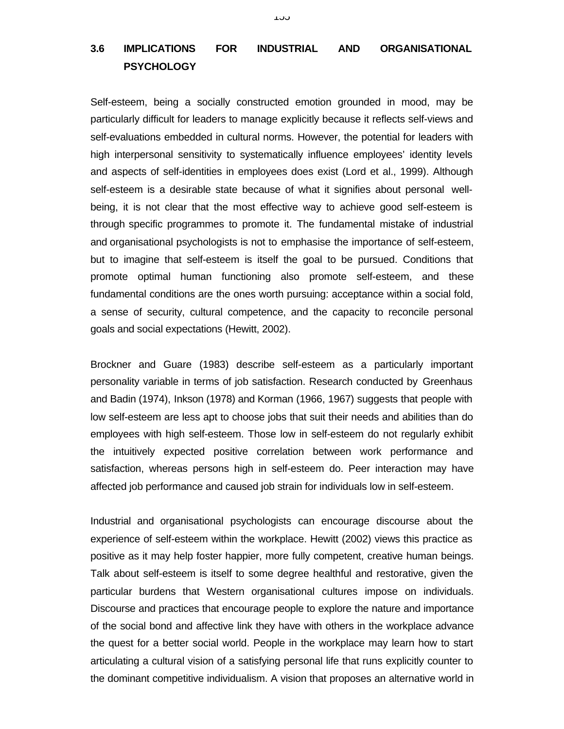# **3.6 IMPLICATIONS FOR INDUSTRIAL AND ORGANISATIONAL PSYCHOLOGY**

Self-esteem, being a socially constructed emotion grounded in mood, may be particularly difficult for leaders to manage explicitly because it reflects self-views and self-evaluations embedded in cultural norms. However, the potential for leaders with high interpersonal sensitivity to systematically influence employees' identity levels and aspects of self-identities in employees does exist (Lord et al., 1999). Although self-esteem is a desirable state because of what it signifies about personal wellbeing, it is not clear that the most effective way to achieve good self-esteem is through specific programmes to promote it. The fundamental mistake of industrial and organisational psychologists is not to emphasise the importance of self-esteem, but to imagine that self-esteem is itself the goal to be pursued. Conditions that promote optimal human functioning also promote self-esteem, and these fundamental conditions are the ones worth pursuing: acceptance within a social fold, a sense of security, cultural competence, and the capacity to reconcile personal goals and social expectations (Hewitt, 2002).

Brockner and Guare (1983) describe self-esteem as a particularly important personality variable in terms of job satisfaction. Research conducted by Greenhaus and Badin (1974), Inkson (1978) and Korman (1966, 1967) suggests that people with low self-esteem are less apt to choose jobs that suit their needs and abilities than do employees with high self-esteem. Those low in self-esteem do not regularly exhibit the intuitively expected positive correlation between work performance and satisfaction, whereas persons high in self-esteem do. Peer interaction may have affected job performance and caused job strain for individuals low in self-esteem.

Industrial and organisational psychologists can encourage discourse about the experience of self-esteem within the workplace. Hewitt (2002) views this practice as positive as it may help foster happier, more fully competent, creative human beings. Talk about self-esteem is itself to some degree healthful and restorative, given the particular burdens that Western organisational cultures impose on individuals. Discourse and practices that encourage people to explore the nature and importance of the social bond and affective link they have with others in the workplace advance the quest for a better social world. People in the workplace may learn how to start articulating a cultural vision of a satisfying personal life that runs explicitly counter to the dominant competitive individualism. A vision that proposes an alternative world in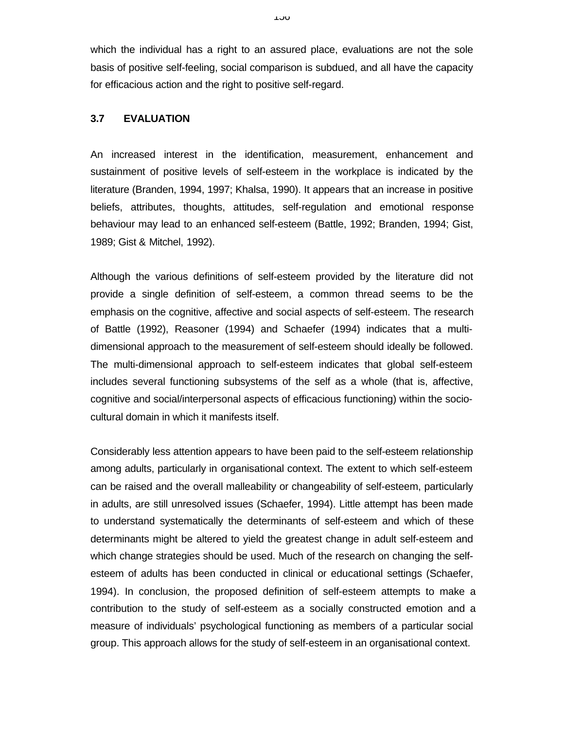which the individual has a right to an assured place, evaluations are not the sole basis of positive self-feeling, social comparison is subdued, and all have the capacity for efficacious action and the right to positive self-regard.

# **3.7 EVALUATION**

An increased interest in the identification, measurement, enhancement and sustainment of positive levels of self-esteem in the workplace is indicated by the literature (Branden, 1994, 1997; Khalsa, 1990). It appears that an increase in positive beliefs, attributes, thoughts, attitudes, self-regulation and emotional response behaviour may lead to an enhanced self-esteem (Battle, 1992; Branden, 1994; Gist, 1989; Gist & Mitchel, 1992).

Although the various definitions of self-esteem provided by the literature did not provide a single definition of self-esteem, a common thread seems to be the emphasis on the cognitive, affective and social aspects of self-esteem. The research of Battle (1992), Reasoner (1994) and Schaefer (1994) indicates that a multidimensional approach to the measurement of self-esteem should ideally be followed. The multi-dimensional approach to self-esteem indicates that global self-esteem includes several functioning subsystems of the self as a whole (that is, affective, cognitive and social/interpersonal aspects of efficacious functioning) within the sociocultural domain in which it manifests itself.

Considerably less attention appears to have been paid to the self-esteem relationship among adults, particularly in organisational context. The extent to which self-esteem can be raised and the overall malleability or changeability of self-esteem, particularly in adults, are still unresolved issues (Schaefer, 1994). Little attempt has been made to understand systematically the determinants of self-esteem and which of these determinants might be altered to yield the greatest change in adult self-esteem and which change strategies should be used. Much of the research on changing the selfesteem of adults has been conducted in clinical or educational settings (Schaefer, 1994). In conclusion, the proposed definition of self-esteem attempts to make a contribution to the study of self-esteem as a socially constructed emotion and a measure of individuals' psychological functioning as members of a particular social group. This approach allows for the study of self-esteem in an organisational context.